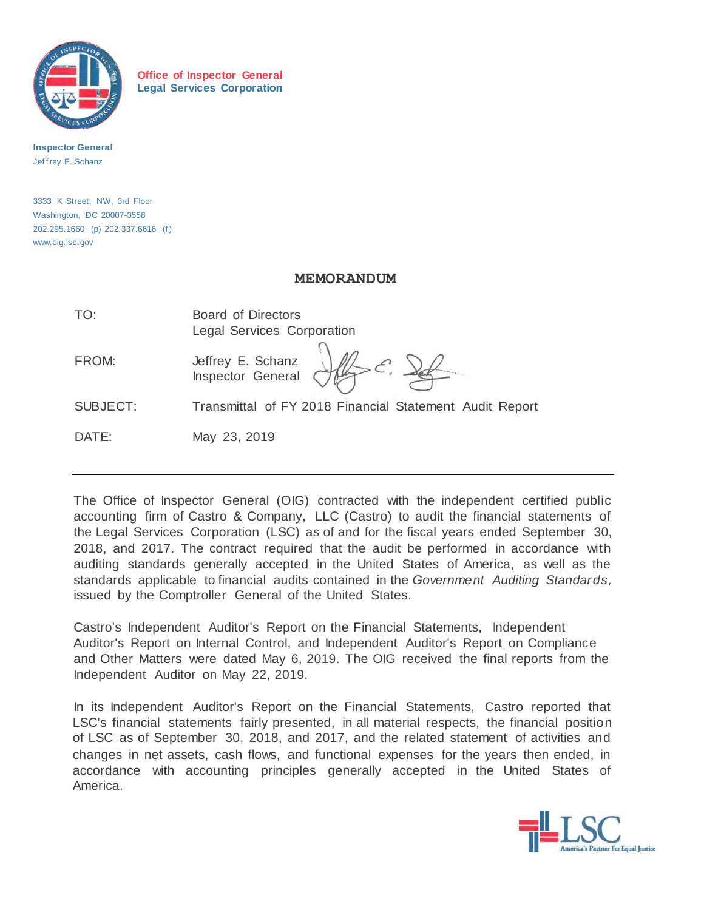

**Office of Inspector General Legal Services Corporation**

**Inspector General** Jeffrey E. Schanz

3333 K Street, NW, 3rd Floor Washington, DC 20007-3558 202.295.1660 (p) 202.337.6616 (f ) [www.oig.lsc.gov](http://www.oig.lsc.gov/)

## **MEMORANDUM**

| TO:      | <b>Board of Directors</b><br>Legal Services Corporation |
|----------|---------------------------------------------------------|
| FROM:    | Jeffrey E. Schanz<br>Inspector General                  |
| SUBJECT: | Transmittal of FY 2018 Financial Statement Audit Report |
| DATE:    | May 23, 2019                                            |

The Office of Inspector General (OIG) contracted with the independent certified public accounting firm of Castro & Company, LLC (Castro) to audit the financial statements of the Legal Services Corporation (LSC) as of and for the fiscal years ended September 30, 2018, and 2017. The contract required that the audit be performed in accordance with auditing standards generally accepted in the United States of America, as well as the standards applicable to financial audits contained in the *Government Auditing Standards,*  issued by the Comptroller General of the United States.

Castro's Independent Auditor's Report on the Financial Statements, Independent Auditor's Report on Internal Control, and Independent Auditor's Report on Compliance and Other Matters were dated May 6, 2019. The OIG received the final reports from the Independent Auditor on May 22, 2019.

In its Independent Auditor's Report on the Financial Statements, Castro reported that LSC's financial statements fairly presented, in all material respects, the financial position of LSC as of September 30, 2018, and 2017, and the related statement of activities and changes in net assets, cash flows, and functional expenses for the years then ended, in accordance with accounting principles generally accepted in the United States of America.

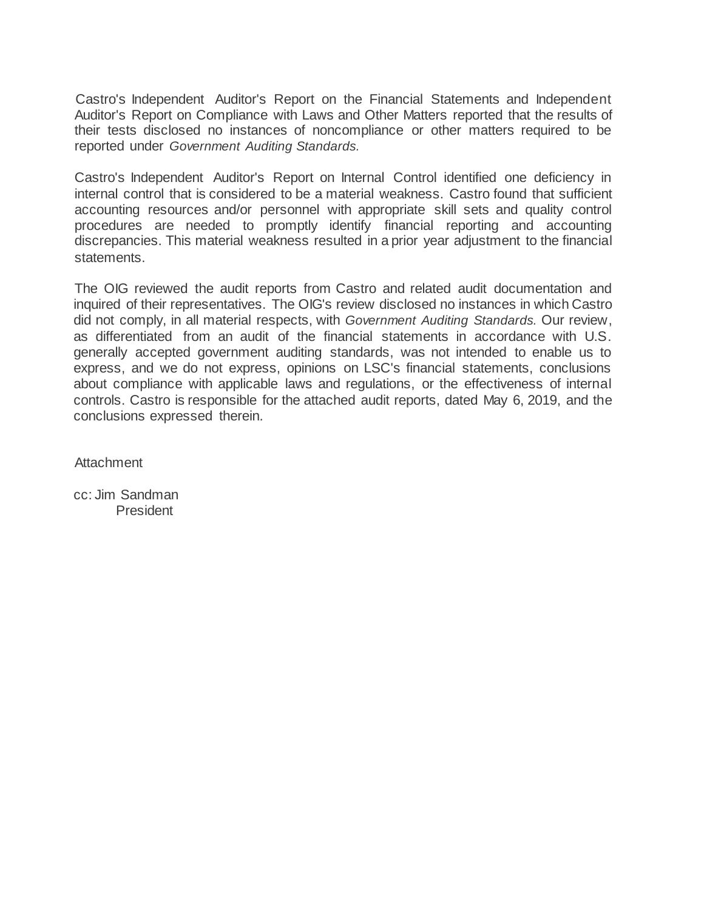Castro's Independent Auditor's Report on the Financial Statements and Independent Auditor's Report on Compliance with Laws and Other Matters reported that the results of their tests disclosed no instances of noncompliance or other matters required to be reported under *Government Auditing Standards.*

Castro's Independent Auditor's Report on Internal Control identified one deficiency in internal control that is considered to be a material weakness. Castro found that sufficient accounting resources and/or personnel with appropriate skill sets and quality control procedures are needed to promptly identify financial reporting and accounting discrepancies. This material weakness resulted in a prior year adjustment to the financial statements.

The OIG reviewed the audit reports from Castro and related audit documentation and inquired of their representatives. The OIG's review disclosed no instances in which Castro did not comply, in all material respects, with *Government Auditing Standards.* Our review, as differentiated from an audit of the financial statements in accordance with U.S. generally accepted government auditing standards, was not intended to enable us to express, and we do not express, opinions on LSC's financial statements, conclusions about compliance with applicable laws and regulations, or the effectiveness of internal controls. Castro is responsible for the attached audit reports, dated May 6, 2019, and the conclusions expressed therein.

**Attachment** 

cc: Jim Sandman President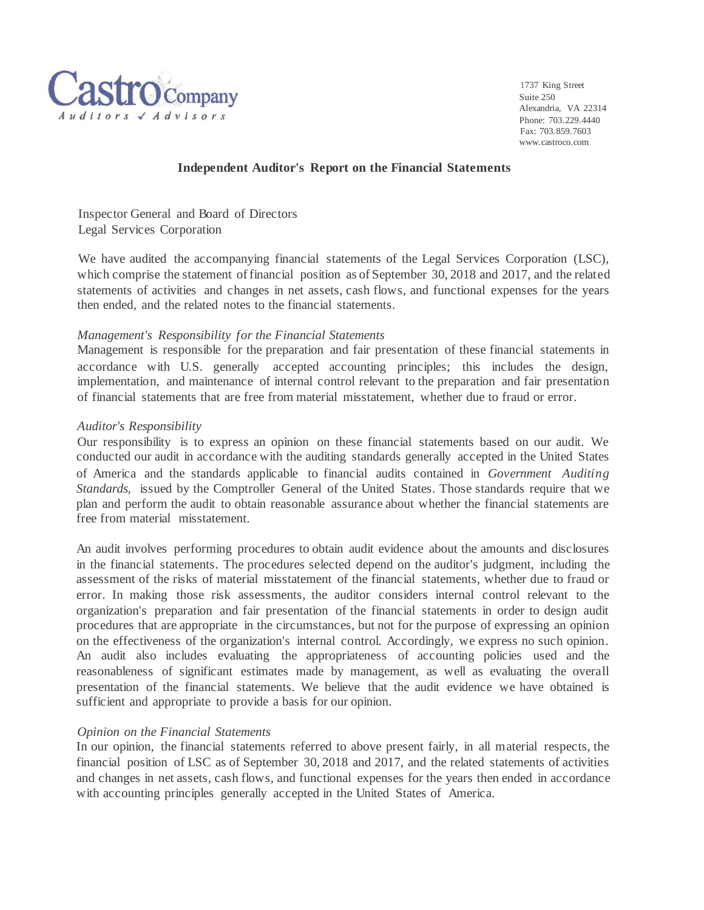

1737 King Street Suite 250 Alexandria, VA 22314 Phone: 703.229.4440 Fax: 703.859.7603 [www.castroco.com](http://www.castroco.com/)

#### **Independent Auditor's Report on the Financial Statements**

Inspector General and Board of Directors Legal Services Corporation

We have audited the accompanying financial statements of the Legal Services Corporation (LSC), which comprise the statement of financial position as of September 30, 2018 and 2017, and the related statements of activities and changes in net assets, cash flows, and functional expenses for the years then ended, and the related notes to the financial statements.

## *Management's Responsibility for the Financial Statements*

Management is responsible for the preparation and fair presentation of these financial statements in accordance with U.S. generally accepted accounting principles; this includes the design, implementation, and maintenance of internal control relevant to the preparation and fair presentation of financial statements that are free from material misstatement, whether due to fraud or error.

#### *Auditor's Responsibility*

Our responsibility is to express an opinion on these financial statements based on our audit. We conducted our audit in accordance with the auditing standards generally accepted in the United States of America and the standards applicable to financial audits contained in *Government Auditing Standards,* issued by the Comptroller General of the United States. Those standards require that we plan and perform the audit to obtain reasonable assurance about whether the financial statements are free from material misstatement.

An audit involves performing procedures to obtain audit evidence about the amounts and disclosures in the financial statements. The procedures selected depend on the auditor's judgment, including the assessment of the risks of material misstatement of the financial statements, whether due to fraud or error. In making those risk assessments, the auditor considers internal control relevant to the organization's preparation and fair presentation of the financial statements in order to design audit procedures that are appropriate in the circumstances, but not for the purpose of expressing an opinion on the effectiveness of the organization's internal control. Accordingly, we express no such opinion. An audit also includes evaluating the appropriateness of accounting policies used and the reasonableness of significant estimates made by management, as well as evaluating the overall presentation of the financial statements. We believe that the audit evidence we have obtained is sufficient and appropriate to provide a basis for our opinion.

#### *Opinion on the Financial Statements*

In our opinion, the financial statements referred to above present fairly, in all material respects, the financial position of LSC as of September 30, 2018 and 2017, and the related statements of activities and changes in net assets, cash flows, and functional expenses for the years then ended in accordance with accounting principles generally accepted in the United States of America.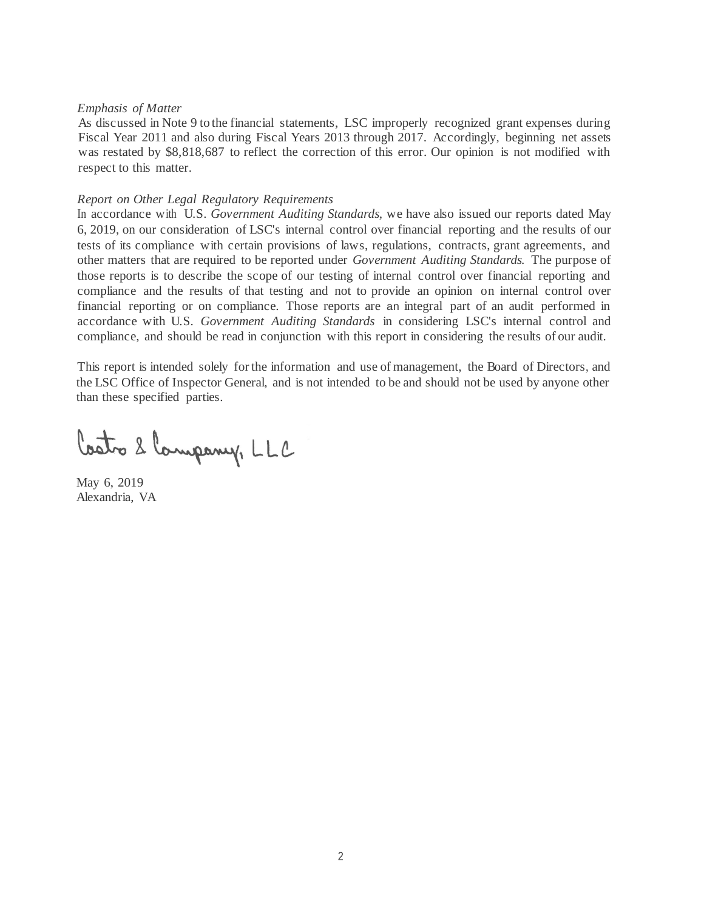#### *Emphasis of Matter*

As discussed in Note 9 to the financial statements, LSC improperly recognized grant expenses during Fiscal Year 2011 and also during Fiscal Years 2013 through 2017. Accordingly, beginning net assets was restated by \$8,818,687 to reflect the correction of this error. Our opinion is not modified with respect to this matter.

#### *Report on Other Legal Regulatory Requirements*

In accordance· with U.S. *Government Auditing Standards,* we have also issued our reports dated May 6, 2019, on our consideration of LSC's internal control over financial reporting and the results of our tests of its compliance with certain provisions of laws, regulations, contracts, grant agreements, and other matters that are required to be reported under *Government Auditing Standards.* The purpose of those reports is to describe the scope of our testing of internal control over financial reporting and compliance and the results of that testing and not to provide an opinion on internal control over financial reporting or on compliance. Those reports are an integral part of an audit performed in accordance with U.S. *Government Auditing Standards* in considering LSC's internal control and compliance, and should be read in conjunction with this report in considering the results of our audit.

This report is intended solely for the information and use of management, the Board of Directors, and the LSC Office of Inspector General, and is not intended to be and should not be used by anyone other than these specified parties.

Costo 2 Company, LLC

May 6, 2019 Alexandria, VA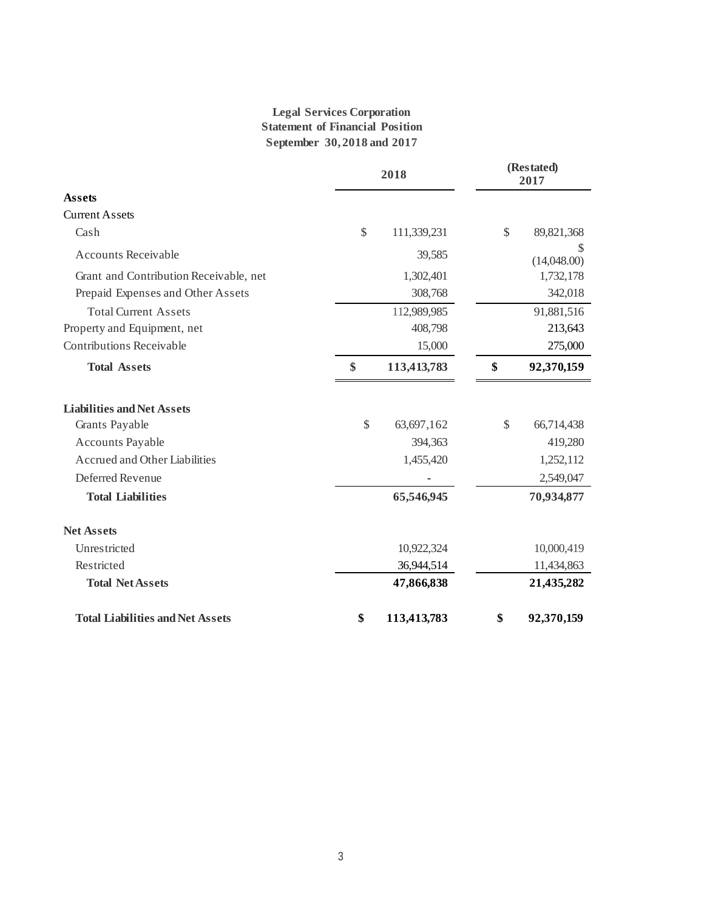# **Legal Services Corporation Statement of Financial Position September 30, 2018 and 2017**

|                                         | 2018 |             | (Restated)<br>2017 |                  |
|-----------------------------------------|------|-------------|--------------------|------------------|
| <b>Assets</b>                           |      |             |                    |                  |
| <b>Current Assets</b>                   |      |             |                    |                  |
| Cash                                    | \$   | 111,339,231 | \$                 | 89,821,368       |
| <b>Accounts Receivable</b>              |      | 39,585      |                    | S<br>(14,048.00) |
| Grant and Contribution Receivable, net  |      | 1,302,401   |                    | 1,732,178        |
| Prepaid Expenses and Other Assets       |      | 308,768     |                    | 342,018          |
| <b>Total Current Assets</b>             |      | 112,989,985 |                    | 91,881,516       |
| Property and Equipment, net             |      | 408,798     |                    | 213,643          |
| <b>Contributions Receivable</b>         |      | 15,000      |                    | 275,000          |
| <b>Total Assets</b>                     | \$   | 113,413,783 | \$                 | 92,370,159       |
| <b>Liabilities and Net Assets</b>       |      |             |                    |                  |
| Grants Payable                          | \$   | 63,697,162  | \$                 | 66,714,438       |
| Accounts Payable                        |      | 394,363     |                    | 419,280          |
| <b>Accrued and Other Liabilities</b>    |      | 1,455,420   |                    | 1,252,112        |
| Deferred Revenue                        |      |             |                    | 2,549,047        |
| <b>Total Liabilities</b>                |      | 65,546,945  |                    | 70,934,877       |
| <b>Net Assets</b>                       |      |             |                    |                  |
| Unrestricted                            |      | 10,922,324  |                    | 10,000,419       |
| Restricted                              |      | 36,944,514  |                    | 11,434,863       |
| <b>Total Net Assets</b>                 |      | 47,866,838  |                    | 21,435,282       |
| <b>Total Liabilities and Net Assets</b> | \$   | 113,413,783 | \$                 | 92,370,159       |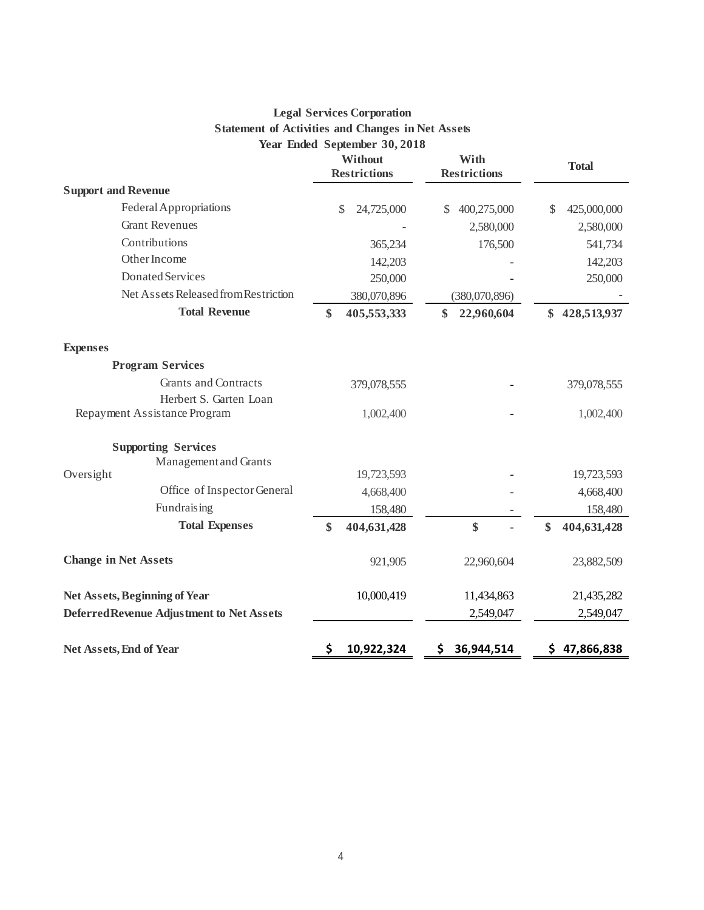# **Legal Services Corporation Statement of Activities and Changes in Net Assets Year Ended September 30, 2018**

|                                                       |    | $1$ car Enucu September 30,2010 |                             |               |              |                   |
|-------------------------------------------------------|----|---------------------------------|-----------------------------|---------------|--------------|-------------------|
| Without<br><b>Restrictions</b>                        |    |                                 | With<br><b>Restrictions</b> |               | <b>Total</b> |                   |
| <b>Support and Revenue</b>                            |    |                                 |                             |               |              |                   |
| Federal Appropriations                                |    | $\mathbb{S}$<br>24,725,000      | $\mathcal{S}$               | 400,275,000   |              | \$<br>425,000,000 |
| <b>Grant Revenues</b>                                 |    |                                 |                             | 2,580,000     |              | 2,580,000         |
| Contributions                                         |    | 365,234                         |                             |               | 176,500      | 541,734           |
| Other Income                                          |    | 142,203                         |                             |               |              | 142,203           |
| Donated Services                                      |    | 250,000                         |                             |               |              | 250,000           |
| Net Assets Released from Restriction                  |    | 380,070,896                     |                             | (380,070,896) |              |                   |
| <b>Total Revenue</b>                                  | \$ | 405,553,333                     | \$                          | 22,960,604    |              | \$<br>428,513,937 |
| <b>Expenses</b>                                       |    |                                 |                             |               |              |                   |
| <b>Program Services</b>                               |    |                                 |                             |               |              |                   |
| <b>Grants and Contracts</b><br>Herbert S. Garten Loan |    | 379,078,555                     |                             |               |              | 379,078,555       |
| Repayment Assistance Program                          |    | 1,002,400                       |                             |               |              | 1,002,400         |
| <b>Supporting Services</b>                            |    |                                 |                             |               |              |                   |
| Management and Grants                                 |    |                                 |                             |               |              |                   |
| Oversight                                             |    | 19,723,593                      |                             |               |              | 19,723,593        |
| Office of Inspector General                           |    | 4,668,400                       |                             |               |              | 4,668,400         |
| Fundraising                                           |    | 158,480                         |                             |               |              | 158,480           |
| <b>Total Expenses</b>                                 | \$ | 404,631,428                     |                             | \$            |              | \$<br>404,631,428 |
| <b>Change in Net Assets</b>                           |    | 921,905                         |                             | 22,960,604    |              | 23,882,509        |
| <b>Net Assets, Beginning of Year</b>                  |    | 10,000,419                      |                             | 11,434,863    |              | 21,435,282        |
| Deferred Revenue Adjustment to Net Assets             |    |                                 |                             | 2,549,047     |              | 2,549,047         |
| <b>Net Assets, End of Year</b>                        | \$ | 10,922,324                      | \$.                         | 36,944,514    |              | \$47,866,838      |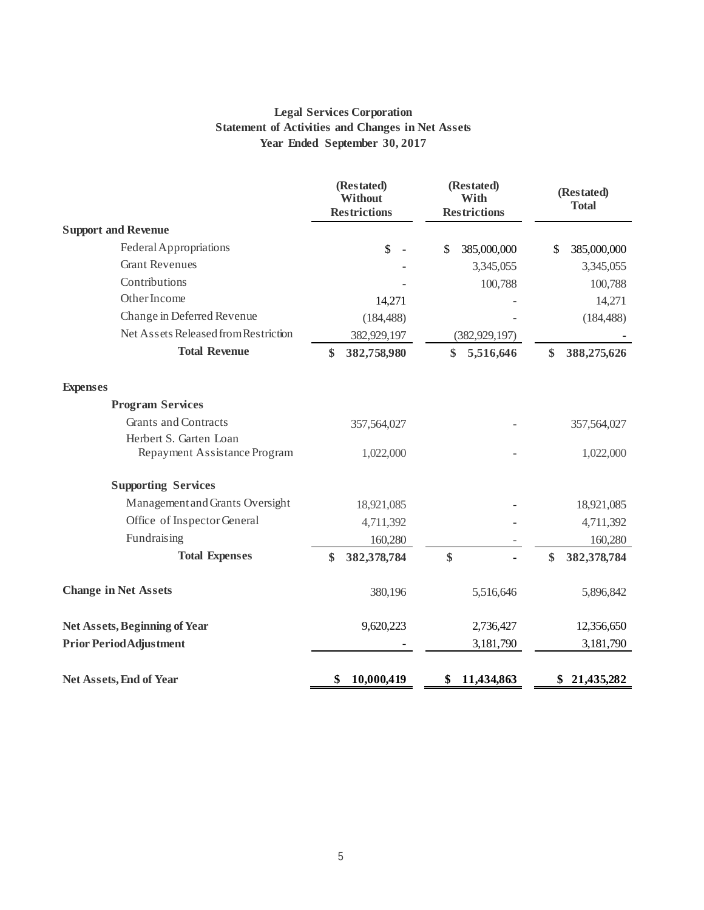# **Legal Services Corporation Statement of Activities and Changes in Net Assets Year Ended September 30, 2017**

|                                                        | (Restated)<br>(Restated)<br><b>Without</b><br>With<br><b>Restrictions</b><br><b>Restrictions</b> |                   | (Restated)<br><b>Total</b> |  |
|--------------------------------------------------------|--------------------------------------------------------------------------------------------------|-------------------|----------------------------|--|
| <b>Support and Revenue</b>                             |                                                                                                  |                   |                            |  |
| Federal Appropriations                                 | $\boldsymbol{\mathsf{S}}$<br>$\overline{\phantom{a}}$                                            | 385,000,000<br>\$ | 385,000,000<br>\$          |  |
| <b>Grant Revenues</b>                                  |                                                                                                  | 3,345,055         | 3,345,055                  |  |
| Contributions                                          |                                                                                                  | 100,788           | 100,788                    |  |
| Other Income                                           | 14,271                                                                                           |                   | 14,271                     |  |
| Change in Deferred Revenue                             | (184, 488)                                                                                       |                   | (184, 488)                 |  |
| Net Assets Released from Restriction                   | 382,929,197                                                                                      | (382, 929, 197)   |                            |  |
| <b>Total Revenue</b>                                   | \$<br>382,758,980                                                                                | \$<br>5,516,646   | \$<br>388,275,626          |  |
| <b>Expenses</b>                                        |                                                                                                  |                   |                            |  |
| <b>Program Services</b>                                |                                                                                                  |                   |                            |  |
| <b>Grants and Contracts</b>                            | 357,564,027                                                                                      |                   | 357,564,027                |  |
| Herbert S. Garten Loan<br>Repayment Assistance Program | 1,022,000                                                                                        |                   | 1,022,000                  |  |
| <b>Supporting Services</b>                             |                                                                                                  |                   |                            |  |
| Management and Grants Oversight                        | 18,921,085                                                                                       |                   | 18,921,085                 |  |
| Office of Inspector General                            | 4,711,392                                                                                        |                   | 4,711,392                  |  |
| Fundraising                                            | 160,280                                                                                          |                   | 160,280                    |  |
| <b>Total Expenses</b>                                  | \$<br>382,378,784                                                                                | \$                | \$<br>382,378,784          |  |
| <b>Change in Net Assets</b>                            | 380,196                                                                                          | 5,516,646         | 5,896,842                  |  |
| <b>Net Assets, Beginning of Year</b>                   | 9,620,223                                                                                        | 2,736,427         | 12,356,650                 |  |
| <b>Prior Period Adjustment</b>                         |                                                                                                  | 3,181,790         | 3,181,790                  |  |
| <b>Net Assets, End of Year</b>                         | \$<br>10,000,419                                                                                 | 11,434,863<br>\$  | 21,435,282<br>\$           |  |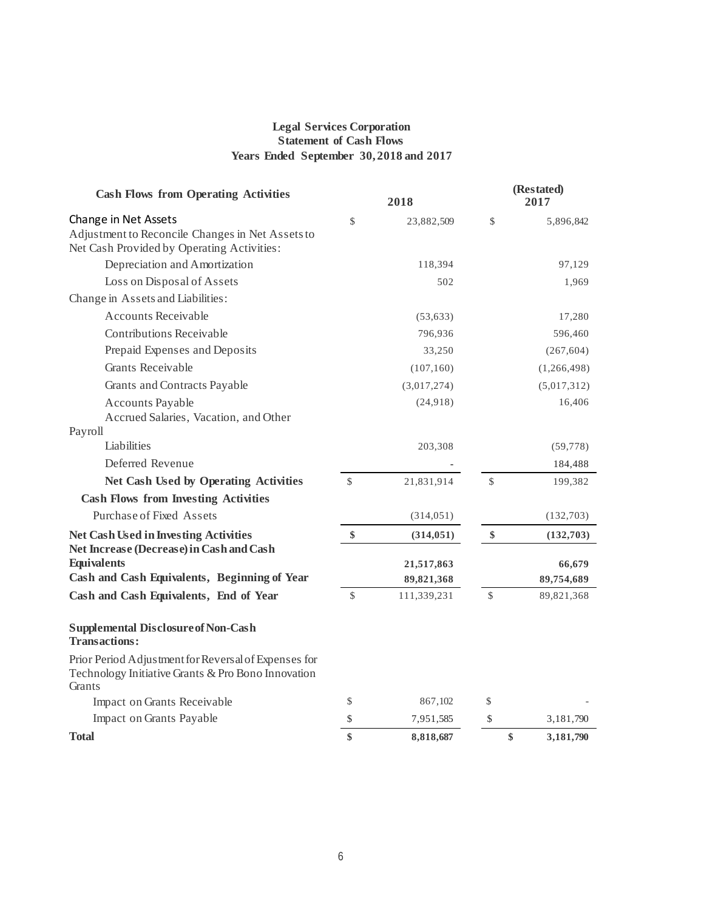#### **Legal Services Corporation Statement of Cash Flows Years Ended September 30, 2018 and 2017**

| <b>Cash Flows from Operating Activities</b>                                                                          |              | 2018        | (Restated)<br>2017 |             |  |
|----------------------------------------------------------------------------------------------------------------------|--------------|-------------|--------------------|-------------|--|
| Change in Net Assets<br>Adjustment to Reconcile Changes in Net Assets to                                             | \$           | 23,882,509  | \$                 | 5,896,842   |  |
| Net Cash Provided by Operating Activities:                                                                           |              |             |                    |             |  |
| Depreciation and Amortization                                                                                        |              | 118,394     |                    | 97,129      |  |
| Loss on Disposal of Assets                                                                                           |              | 502         |                    | 1,969       |  |
| Change in Assets and Liabilities:                                                                                    |              |             |                    |             |  |
| <b>Accounts Receivable</b>                                                                                           |              | (53, 633)   |                    | 17,280      |  |
| <b>Contributions Receivable</b>                                                                                      |              | 796,936     |                    | 596,460     |  |
| Prepaid Expenses and Deposits                                                                                        |              | 33,250      |                    | (267, 604)  |  |
| <b>Grants Receivable</b>                                                                                             |              | (107, 160)  |                    | (1,266,498) |  |
| Grants and Contracts Payable                                                                                         |              | (3,017,274) |                    | (5,017,312) |  |
| <b>Accounts Payable</b>                                                                                              |              | (24,918)    |                    | 16,406      |  |
| Accrued Salaries, Vacation, and Other                                                                                |              |             |                    |             |  |
| Payroll                                                                                                              |              |             |                    |             |  |
| Liabilities                                                                                                          |              | 203,308     |                    | (59, 778)   |  |
| Deferred Revenue                                                                                                     |              |             |                    | 184,488     |  |
| <b>Net Cash Used by Operating Activities</b>                                                                         | $\mathbb{S}$ | 21,831,914  | $\mathcal{S}$      | 199,382     |  |
| <b>Cash Flows from Investing Activities</b>                                                                          |              |             |                    |             |  |
| Purchase of Fixed Assets                                                                                             |              | (314, 051)  |                    | (132,703)   |  |
| <b>Net Cash Used in Investing Activities</b><br>Net Increase (Decrease) in Cash and Cash                             | \$           | (314, 051)  | \$                 | (132,703)   |  |
| <b>Equivalents</b>                                                                                                   |              | 21,517,863  |                    | 66,679      |  |
| Cash and Cash Equivalents, Beginning of Year                                                                         |              | 89,821,368  |                    | 89,754,689  |  |
| Cash and Cash Equivalents, End of Year                                                                               | \$           | 111,339,231 | \$                 | 89,821,368  |  |
| <b>Supplemental Disclosure of Non-Cash</b><br><b>Transactions:</b>                                                   |              |             |                    |             |  |
| Prior Period Adjustment for Reversal of Expenses for<br>Technology Initiative Grants & Pro Bono Innovation<br>Grants |              |             |                    |             |  |
| Impact on Grants Receivable                                                                                          | \$           | 867,102     | \$                 |             |  |
| Impact on Grants Payable                                                                                             | \$           | 7,951,585   | \$                 | 3, 181, 790 |  |
| Total                                                                                                                | \$           | 8,818,687   | $\$\$              | 3,181,790   |  |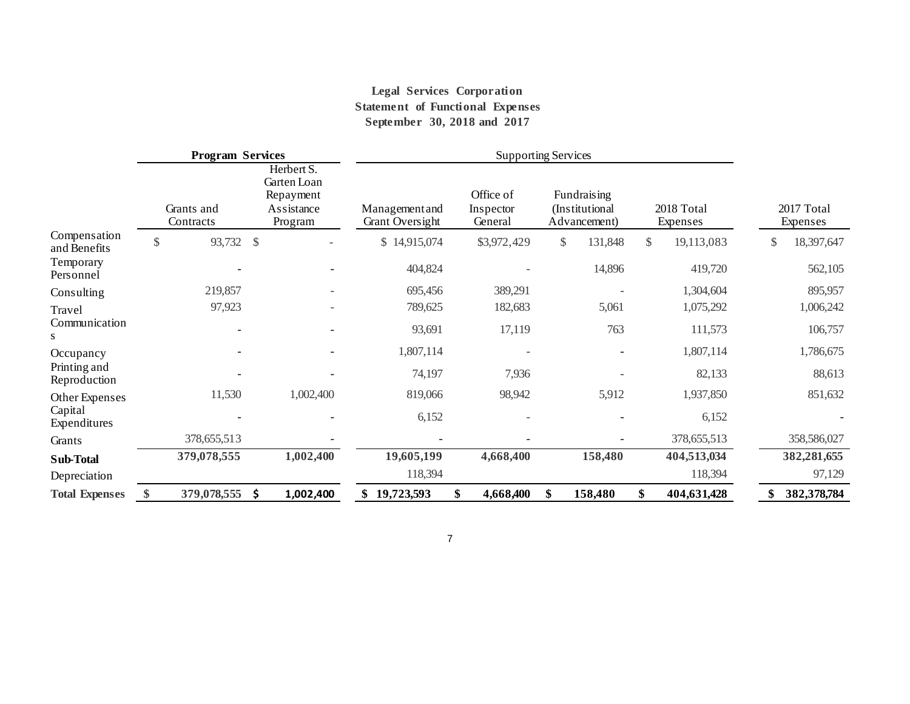# **Legal Services Corporation Statement of Functional Expenses September 30, 2018 and 2017**

|                                              | Herbert S.<br>Garten Loan          |                                   |                                   |                                               |                            |                        |
|----------------------------------------------|------------------------------------|-----------------------------------|-----------------------------------|-----------------------------------------------|----------------------------|------------------------|
| Grants and<br>Contracts                      | Repayment<br>Assistance<br>Program | Management and<br>Grant Oversight | Office of<br>Inspector<br>General | Fundraising<br>(Institutional<br>Advancement) | 2018 Total<br>Expenses     | 2017 Total<br>Expenses |
| Compensation<br>93,732<br>\$<br>and Benefits | $\mathcal{S}$                      | \$14,915,074                      | \$3,972,429                       | 131,848<br>\$                                 | $\mathbb{S}$<br>19,113,083 | 18,397,647<br>\$       |
| Temporary<br>Personnel                       |                                    | 404,824                           |                                   | 14,896                                        | 419,720                    | 562,105                |
| 219,857<br>Consulting                        |                                    | 695,456                           | 389,291                           |                                               | 1,304,604                  | 895,957                |
| 97,923<br>Travel                             |                                    | 789,625                           | 182,683                           | 5,061                                         | 1,075,292                  | 1,006,242              |
| Communication                                |                                    | 93,691                            | 17,119                            | 763                                           | 111,573                    | 106,757                |
| Occupancy                                    |                                    | 1,807,114                         |                                   |                                               | 1,807,114                  | 1,786,675              |
| Printing and<br>Reproduction                 |                                    | 74,197                            | 7,936                             |                                               | 82,133                     | 88,613                 |
| 11,530<br>Other Expenses                     | 1,002,400                          | 819,066                           | 98,942                            | 5,912                                         | 1,937,850                  | 851,632                |
| Capital<br>Expenditures                      |                                    | 6,152                             |                                   |                                               | 6,152                      |                        |
| 378, 655, 513<br>Grants                      |                                    |                                   |                                   |                                               | 378, 655, 513              | 358,586,027            |
| 379,078,555<br>Sub-Total                     | 1,002,400                          | 19,605,199                        | 4,668,400                         | 158,480                                       | 404,513,034                | 382,281,655            |
| Depreciation                                 |                                    | 118,394                           |                                   |                                               | 118,394                    | 97,129                 |
| 379,078,555<br><b>Total Expenses</b>         | \$.<br>1,002,400                   | 19,723,593                        | 4,668,400                         | 158,480                                       | \$<br>404,631,428          | 382,378,784            |

7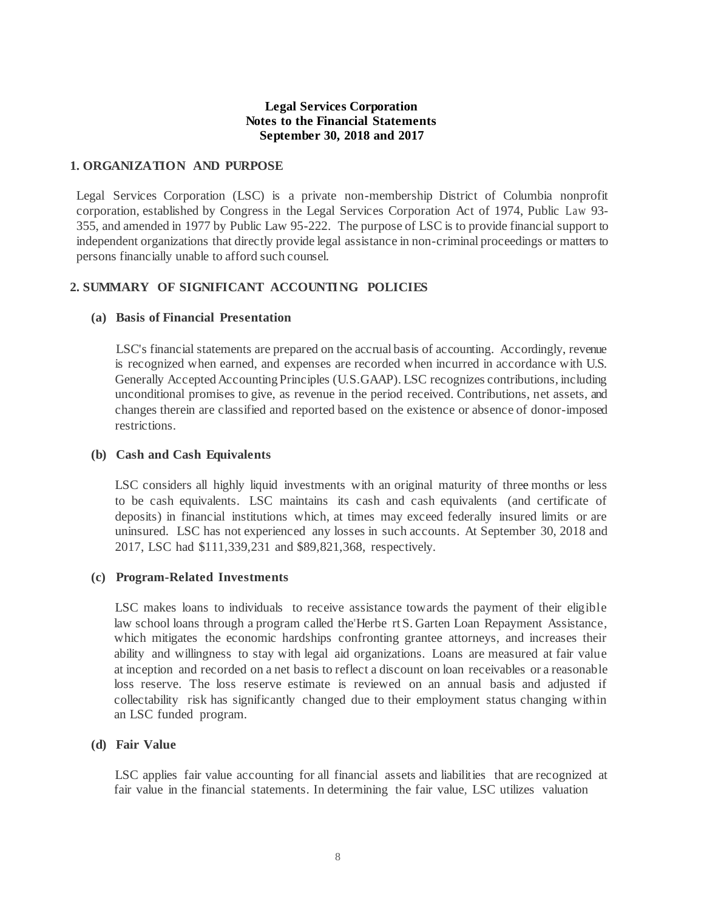## **Legal Services Corporation Notes to the Financial Statements September 30, 2018 and 2017**

#### **1. ORGANIZATION AND PURPOSE**

Legal Services Corporation (LSC) is a private non-membership District of Columbia nonprofit corporation, established by Congress in the Legal Services Corporation Act of 1974, Public Law 93- 355, and amended in 1977 by Public Law 95-222. The purpose of LSC is to provide financial support to independent organizations that directly provide legal assistance in non-criminal proceedings or matters to persons financially unable to afford such counsel.

# **2. SUMMARY OF SIGNIFICANT ACCOUNTING POLICIES**

#### **(a) Basis of Financial Presentation**

LSC's financial statements are prepared on the accrual basis of accounting. Accordingly, revenue is recognized when earned, and expenses are recorded when incurred in accordance with U.S. Generally Accepted Accounting Principles (U.S.GAAP). LSC recognizes contributions, including unconditional promises to give, as revenue in the period received. Contributions, net assets, and changes therein are classified and reported based on the existence or absence of donor-imposed restrictions.

#### **(b) Cash and Cash Equivalents**

LSC considers all highly liquid investments with an original maturity of three months or less to be cash equivalents. LSC maintains its cash and cash equivalents (and certificate of deposits) in financial institutions which, at times may exceed federally insured limits or are uninsured. LSC has not experienced any losses in such accounts. At September 30, 2018 and 2017, LSC had \$111,339,231 and \$89,821,368, respectively.

#### **(c) Program-Related Investments**

LSC makes loans to individuals to receive assistance towards the payment of their eligible law school loans through a program called the'Herbe rt S. Garten Loan Repayment Assistance, which mitigates the economic hardships confronting grantee attorneys, and increases their ability and willingness to stay with legal aid organizations. Loans are measured at fair value at inception and recorded on a net basis to reflect a discount on loan receivables or a reasonable loss reserve. The loss reserve estimate is reviewed on an annual basis and adjusted if collectability risk has significantly changed due to their employment status changing within an LSC funded program.

#### **(d) Fair Value**

LSC applies fair value accounting for all financial assets and liabilities that are recognized at fair value in the financial statements. In determining the fair value, LSC utilizes valuation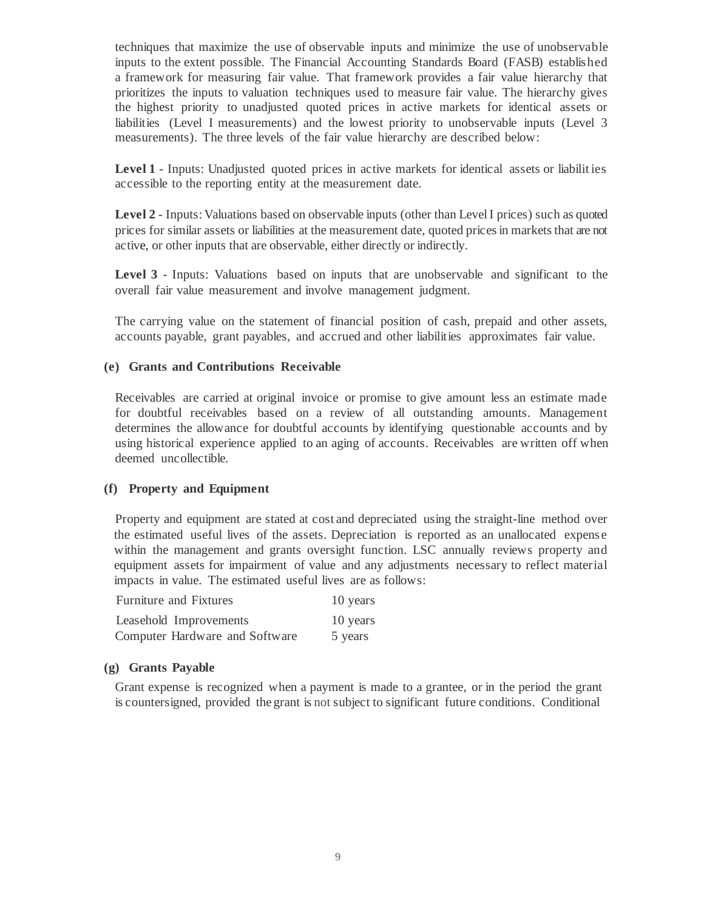techniques that maximize the use of observable inputs and minimize the use of unobservable inputs to the extent possible. The Financial Accounting Standards Board (FASB) established a framework for measuring fair value. That framework provides a fair value hierarchy that prioritizes the inputs to valuation techniques used to measure fair value. The hierarchy gives the highest priority to unadjusted quoted prices in active markets for identical assets or liabilities (Level I measurements) and the lowest priority to unobservable inputs (Level 3 measurements). The three levels of the fair value hierarchy are described below:

**Level 1** - Inputs: Unadjusted quoted prices in active markets for identical assets or liabilit ies accessible to the reporting entity at the measurement date.

**Level 2** - Inputs: Valuations based on observable inputs (other than Level I prices) such as quoted prices for similar assets or liabilities at the measurement date, quoted prices in markets that are not active, or other inputs that are observable, either directly or indirectly.

**Level 3** - Inputs: Valuations based on inputs that are unobservable and significant to the overall fair value measurement and involve management judgment.

The carrying value on the statement of financial position of cash, prepaid and other assets, accounts payable, grant payables, and accrued and other liabilities approximates fair value.

## **(e) Grants and Contributions Receivable**

Receivables are carried at original invoice or promise to give amount less an estimate made for doubtful receivables based on a review of all outstanding amounts. Management determines the allowance for doubtful accounts by identifying questionable accounts and by using historical experience applied to an aging of accounts. Receivables are written off when deemed uncollectible.

#### **(f) Property and Equipment**

Property and equipment are stated at cost and depreciated using the straight-line method over the estimated useful lives of the assets. Depreciation is reported as an unallocated expense within the management and grants oversight function. LSC annually reviews property and equipment assets for impairment of value and any adjustments necessary to reflect material impacts in value. The estimated useful lives are as follows:

| <b>Furniture and Fixtures</b>  | 10 years |
|--------------------------------|----------|
| Leasehold Improvements         | 10 years |
| Computer Hardware and Software | 5 years  |

#### **(g) Grants Payable**

Grant expense is recognized when a payment is made to a grantee, or in the period the grant is countersigned, provided the grant is not subject to significant future conditions. Conditional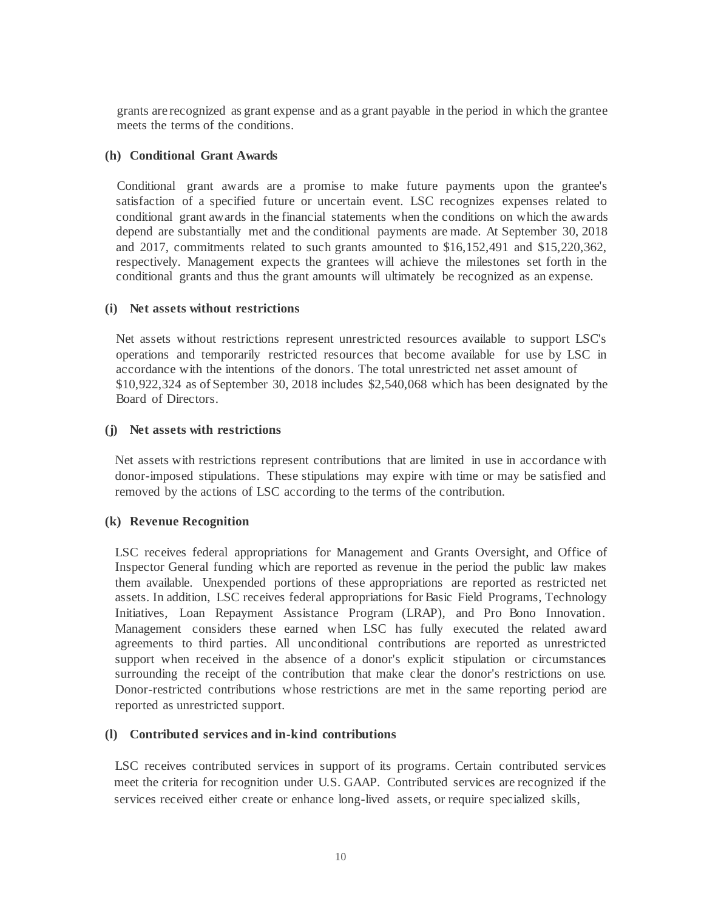grants are recognized as grant expense and as a grant payable in the period in which the grantee meets the terms of the conditions.

# **(h) Conditional Grant Awards**

Conditional grant awards are a promise to make future payments upon the grantee's satisfaction of a specified future or uncertain event. LSC recognizes expenses related to conditional grant awards in the financial statements when the conditions on which the awards depend are substantially met and the conditional payments are made. At September 30, 2018 and 2017, commitments related to such grants amounted to \$16,152,491 and \$15,220,362, respectively. Management expects the grantees will achieve the milestones set forth in the conditional grants and thus the grant amounts will ultimately be recognized as an expense.

# **(i) Net assets without restrictions**

Net assets without restrictions represent unrestricted resources available to support LSC's operations and temporarily restricted resources that become available for use by LSC in accordance with the intentions of the donors. The total unrestricted net asset amount of \$10,922,324 as of September 30, 2018 includes \$2,540,068 which has been designated by the Board of Directors.

# **(j) Net assets with restrictions**

Net assets with restrictions represent contributions that are limited in use in accordance with donor-imposed stipulations. These stipulations may expire with time or may be satisfied and removed by the actions of LSC according to the terms of the contribution.

# **(k) Revenue Recognition**

LSC receives federal appropriations for Management and Grants Oversight, and Office of Inspector General funding which are reported as revenue in the period the public law makes them available. Unexpended portions of these appropriations are reported as restricted net assets. In addition, LSC receives federal appropriations for Basic Field Programs, Technology Initiatives, Loan Repayment Assistance Program (LRAP), and Pro Bono Innovation. Management considers these earned when LSC has fully executed the related award agreements to third parties. All unconditional contributions are reported as unrestricted support when received in the absence of a donor's explicit stipulation or circumstances surrounding the receipt of the contribution that make clear the donor's restrictions on use. Donor-restricted contributions whose restrictions are met in the same reporting period are reported as unrestricted support.

## **(l) Contributed services and in-kind contributions**

LSC receives contributed services in support of its programs. Certain contributed services meet the criteria for recognition under U.S. GAAP. Contributed services are recognized if the services received either create or enhance long-lived assets, or require specialized skills,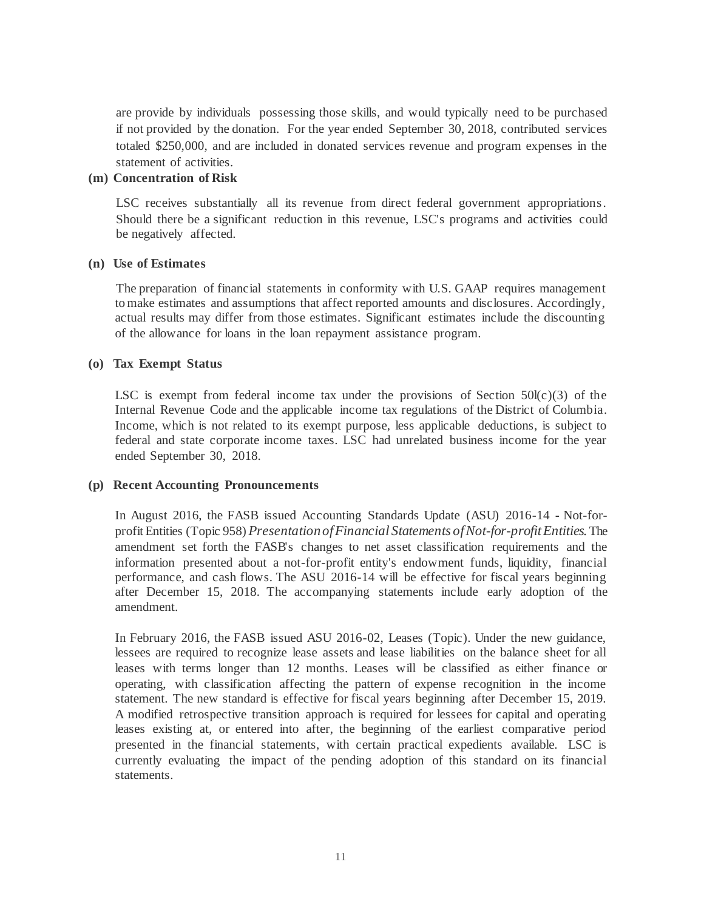are provide by individuals possessing those skills, and would typically need to be purchased if not provided by the donation. For the year ended September 30, 2018, contributed services totaled \$250,000, and are included in donated services revenue and program expenses in the statement of activities.

## **(m) Concentration of Risk**

LSC receives substantially all its revenue from direct federal government appropriations. Should there be a significant reduction in this revenue, LSC's programs and activities could be negatively affected.

## **(n) Use of Estimates**

The preparation of financial statements in conformity with U.S. GAAP requires management tomake estimates and assumptions that affect reported amounts and disclosures. Accordingly, actual results may differ from those estimates. Significant estimates include the discounting of the allowance for loans in the loan repayment assistance program.

#### **(o) Tax Exempt Status**

LSC is exempt from federal income tax under the provisions of Section  $50I(c)(3)$  of the Internal Revenue Code and the applicable income tax regulations of the District of Columbia. Income, which is not related to its exempt purpose, less applicable deductions, is subject to federal and state corporate income taxes. LSC had unrelated business income for the year ended September 30, 2018.

## **(p) Recent Accounting Pronouncements**

In August 2016, the FASB issued Accounting Standards Update (ASU) 2016-14 - Not-forprofit Entities (Topic 958) *PresentationofFinancial Statements ofNot-for-profitEntities.* The amendment set forth the FASB's changes to net asset classification requirements and the information presented about a not-for-profit entity's endowment funds, liquidity, financial performance, and cash flows. The ASU 2016-14 will be effective for fiscal years beginning after December 15, 2018. The accompanying statements include early adoption of the amendment.

In February 2016, the FASB issued ASU 2016-02, Leases (Topic). Under the new guidance, lessees are required to recognize lease assets and lease liabilities on the balance sheet for all leases with terms longer than 12 months. Leases will be classified as either finance or operating, with classification affecting the pattern of expense recognition in the income statement. The new standard is effective for fiscal years beginning after December 15, 2019. A modified retrospective transition approach is required for lessees for capital and operating leases existing at, or entered into after, the beginning of the earliest comparative period presented in the financial statements, with certain practical expedients available. LSC is currently evaluating the impact of the pending adoption of this standard on its financial statements.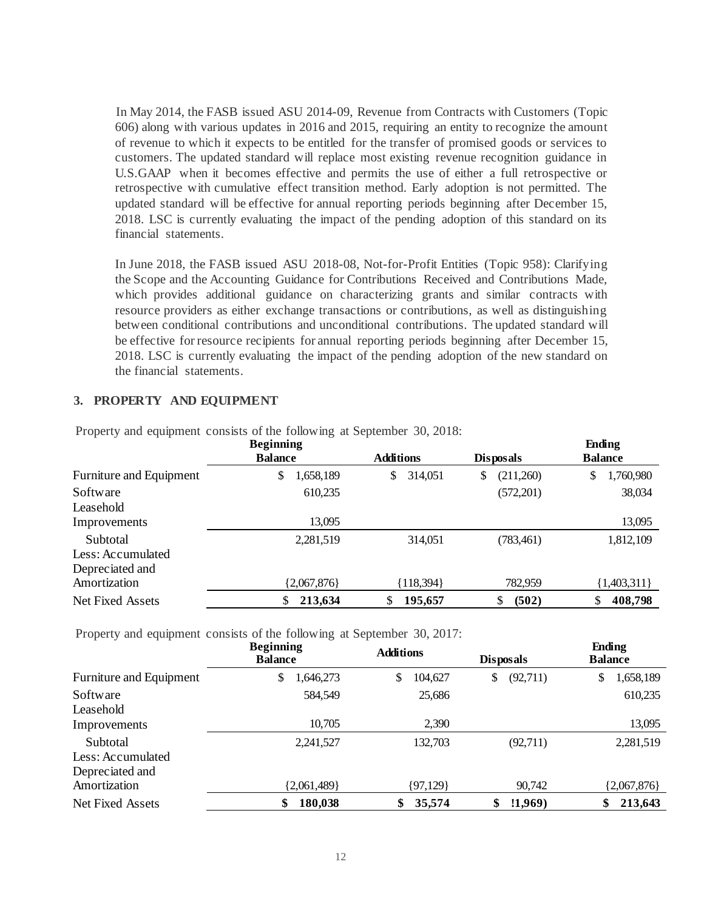In May 2014, the FASB issued ASU 2014-09, Revenue from Contracts with Customers (Topic 606) along with various updates in 2016 and 2015, requiring an entity to recognize the amount of revenue to which it expects to be entitled for the transfer of promised goods or services to customers. The updated standard will replace most existing revenue recognition guidance in U.S.GAAP when it becomes effective and permits the use of either a full retrospective or retrospective with cumulative effect transition method. Early adoption is not permitted. The updated standard will be effective for annual reporting periods beginning after December 15, 2018. LSC is currently evaluating the impact of the pending adoption of this standard on its financial statements.

In June 2018, the FASB issued ASU 2018-08, Not-for-Profit Entities (Topic 958): Clarifying the Scope and the Accounting Guidance for Contributions Received and Contributions Made, which provides additional guidance on characterizing grants and similar contracts with resource providers as either exchange transactions or contributions, as well as distinguishing between conditional contributions and unconditional contributions. The updated standard will be effective for resource recipients for annual reporting periods beginning after December 15, 2018. LSC is currently evaluating the impact of the pending adoption of the new standard on the financial statements.

# **3. PROPERTY AND EQUIPMENT**

|                         | <b>Beginning</b><br><b>Balance</b> | <b>Additions</b> | <b>Disposals</b> | Ending<br><b>Balance</b> |
|-------------------------|------------------------------------|------------------|------------------|--------------------------|
| Furniture and Equipment | \$<br>1,658,189                    | 314,051<br>S.    | \$<br>(211,260)  | \$<br>1,760,980          |
| Software                | 610,235                            |                  | (572,201)        | 38,034                   |
| Leasehold               |                                    |                  |                  |                          |
| Improvements            | 13.095                             |                  |                  | 13,095                   |
| Subtotal                | 2,281,519                          | 314,051          | (783, 461)       | 1,812,109                |
| Less: Accumulated       |                                    |                  |                  |                          |
| Depreciated and         |                                    |                  |                  |                          |
| Amortization            | ${2,067,876}$                      | ${118,394}$      | 782,959          | ${1,403,311}$            |
| Net Fixed Assets        | 213,634                            | \$<br>195,657    | (502)<br>S       | 408,798                  |

Property and equipment consists of the following at September 30, 2018:

Property and equipment consists of the following at September 30, 2017:

|                         | <b>Beginning</b><br><b>Balance</b> | <b>Additions</b> | <b>Disposals</b> | Ending<br><b>Balance</b> |
|-------------------------|------------------------------------|------------------|------------------|--------------------------|
| Furniture and Equipment | \$<br>.646,273                     | \$<br>104,627    | (92,711)<br>\$   | 1,658,189<br>\$          |
| Software                | 584,549                            | 25,686           |                  | 610,235                  |
| Leasehold               |                                    |                  |                  |                          |
| Improvements            | 10,705                             | 2,390            |                  | 13,095                   |
| Subtotal                | 2,241,527                          | 132,703          | (92,711)         | 2,281,519                |
| Less: Accumulated       |                                    |                  |                  |                          |
| Depreciated and         |                                    |                  |                  |                          |
| Amortization            | ${2,061,489}$                      | ${97,129}$       | 90,742           | ${2,067,876}$            |
| Net Fixed Assets        | \$<br>180,038                      | 35,574<br>\$     | (1,969)<br>\$    | 213,643                  |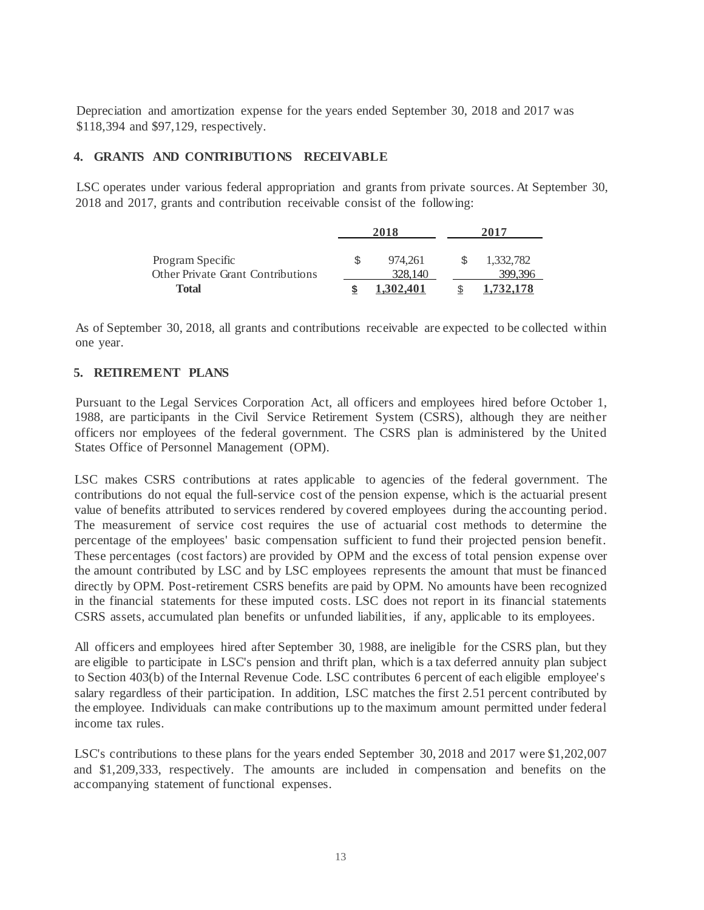Depreciation and amortization expense for the years ended September 30, 2018 and 2017 was \$118,394 and \$97,129, respectively.

## **4. GRANTS AND CONTRIBUTIONS RECEIVABLE**

LSC operates under various federal appropriation and grants from private sources. At September 30, 2018 and 2017, grants and contribution receivable consist of the following:

|                                                              | 2018 |                    | 2017 |                      |
|--------------------------------------------------------------|------|--------------------|------|----------------------|
| Program Specific<br><b>Other Private Grant Contributions</b> |      | 974.261<br>328,140 |      | 1,332,782<br>399,396 |
| Total                                                        |      | 1.302.401          |      | 1,732,178            |

As of September 30, 2018, all grants and contributions receivable are expected to be collected within one year.

# **5. RETIREMENT PLANS**

Pursuant to the Legal Services Corporation Act, all officers and employees hired before October 1, 1988, are participants in the Civil Service Retirement System (CSRS), although they are neither officers nor employees of the federal government. The CSRS plan is administered by the United States Office of Personnel Management (OPM).

LSC makes CSRS contributions at rates applicable to agencies of the federal government. The contributions do not equal the full-service cost of the pension expense, which is the actuarial present value of benefits attributed to services rendered by covered employees during the accounting period. The measurement of service cost requires the use of actuarial cost methods to determine the percentage of the employees' basic compensation sufficient to fund their projected pension benefit. These percentages (cost factors) are provided by OPM and the excess of total pension expense over the amount contributed by LSC and by LSC employees represents the amount that must be financed directly by OPM. Post-retirement CSRS benefits are paid by OPM. No amounts have been recognized in the financial statements for these imputed costs. LSC does not report in its financial statements CSRS assets, accumulated plan benefits or unfunded liabilities, if any, applicable to its employees.

All officers and employees hired after September 30, 1988, are ineligible for the CSRS plan, but they are eligible to participate in LSC's pension and thrift plan, which is a tax deferred annuity plan subject to Section 403(b) of the Internal Revenue Code. LSC contributes 6 percent of each eligible employee's salary regardless of their participation. In addition, LSC matches the first 2.51 percent contributed by the employee. Individuals can make contributions up to the maximum amount permitted under federal income tax rules.

LSC's contributions to these plans for the years ended September 30, 2018 and 2017 were \$1,202,007 and \$1,209,333, respectively. The amounts are included in compensation and benefits on the accompanying statement of functional expenses.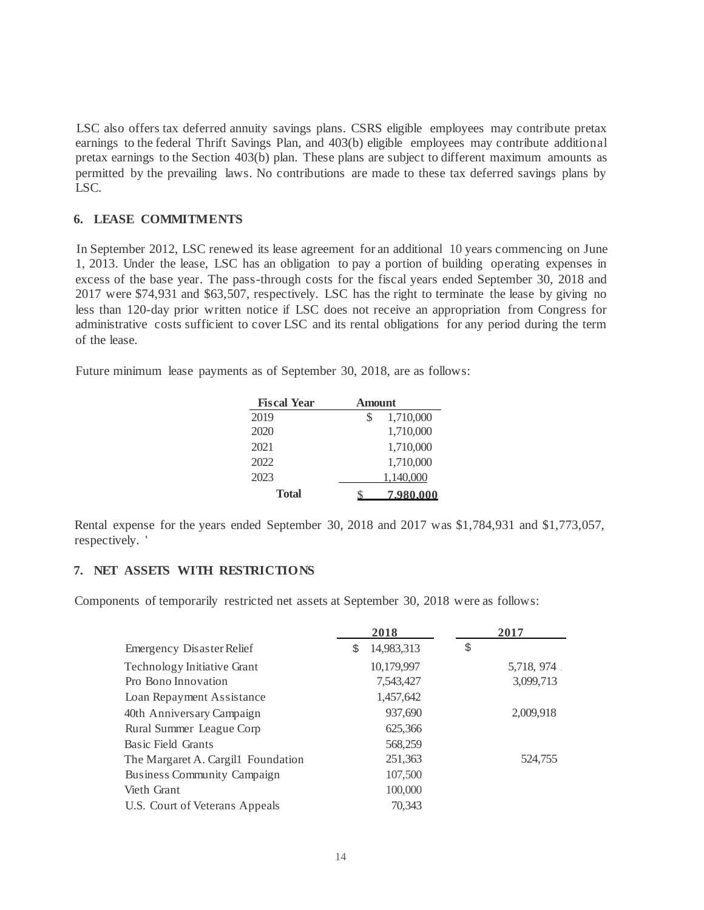LSC also offers tax deferred annuity savings plans. CSRS eligible employees may contribute pretax earnings to the federal Thrift Savings Plan, and 403(b) eligible employees may contribute additional pretax earnings to the Section 403(b) plan. These plans are subject to different maximum amounts as permitted by the prevailing laws. No contributions are made to these tax deferred savings plans by LSC.

# **6. LEASE COMMITMENTS**

In September 2012, LSC renewed its lease agreement for an additional 10 years commencing on June 1, 2013. Under the lease, LSC has an obligation to pay a portion of building operating expenses in excess of the base year. The pass-through costs for the fiscal years ended September 30, 2018 and 2017 were \$74,931 and \$63,507, respectively. LSC has the right to terminate the lease by giving no less than 120-day prior written notice if LSC does not receive an appropriation from Congress for administrative costs sufficient to cover LSC and its rental obligations for any period during the term of the lease.

Future minimum lease payments as of September 30, 2018, are as follows:

| <b>Fiscal Year</b> | Amount         |
|--------------------|----------------|
| 2019               | 1,710,000<br>S |
| 2020               | 1,710,000      |
| 2021               | 1,710,000      |
| 2022               | 1,710,000      |
| 2023               | 1,140,000      |
| Total              | 7,980,000      |

Rental expense for the years ended September 30, 2018 and 2017 was \$1,784,931 and \$1,773,057, respectively. '

## **7. NET ASSETS WITH RESTRICTIONS**

Components of temporarily restricted net assets at September 30, 2018 were as follows:

|                                    |   | 2018       | 2017       |
|------------------------------------|---|------------|------------|
| Emergency Disaster Relief          | S | 14,983,313 | \$         |
| <b>Technology Initiative Grant</b> |   | 10,179,997 | 5,718, 974 |
| Pro Bono Innovation                |   | 7,543,427  | 3,099,713  |
| Loan Repayment Assistance          |   | 1,457,642  |            |
| 40th Annivers ary Campaign         |   | 937,690    | 2,009,918  |
| Rural Summer League Corp           |   | 625,366    |            |
| Basic Field Grants                 |   | 568,259    |            |
| The Margaret A. Cargil1 Foundation |   | 251,363    | 524,755    |
| <b>Business Community Campaign</b> |   | 107,500    |            |
| Vieth Grant                        |   | 100,000    |            |
| U.S. Court of Veterans Appeals     |   | 70.343     |            |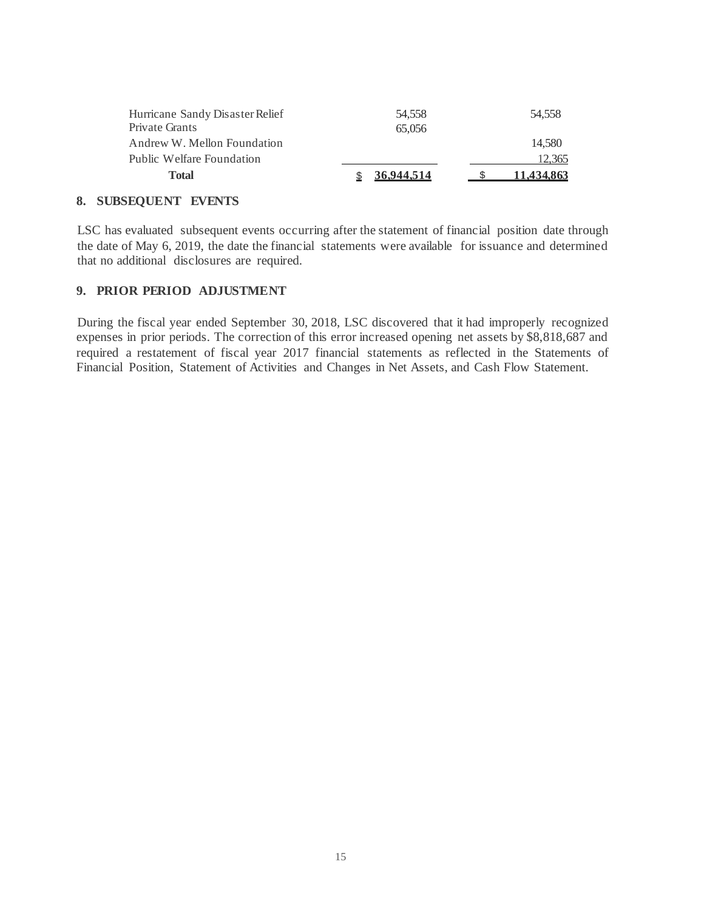| Total                           | 36,944,514 | 11.434.863 |
|---------------------------------|------------|------------|
| Public Welfare Foundation       |            | 12.365     |
| Andrew W. Mellon Foundation     |            | 14.580     |
| Private Grants                  | 65,056     |            |
| Hurricane Sandy Disaster Relief | 54.558     | 54.558     |
|                                 |            |            |

# **8. SUBSEQUENT EVENTS**

LSC has evaluated subsequent events occurring after the statement of financial position date through the date of May 6, 2019, the date the financial statements were available for issuance and determined that no additional disclosures are required.

# **9. PRIOR PERIOD ADJUSTMENT**

During the fiscal year ended September 30, 2018, LSC discovered that it had improperly recognized expenses in prior periods. The correction of this error increased opening net assets by \$8,818,687 and required a restatement of fiscal year 2017 financial statements as reflected in the Statements of Financial Position, Statement of Activities and Changes in Net Assets, and Cash Flow Statement.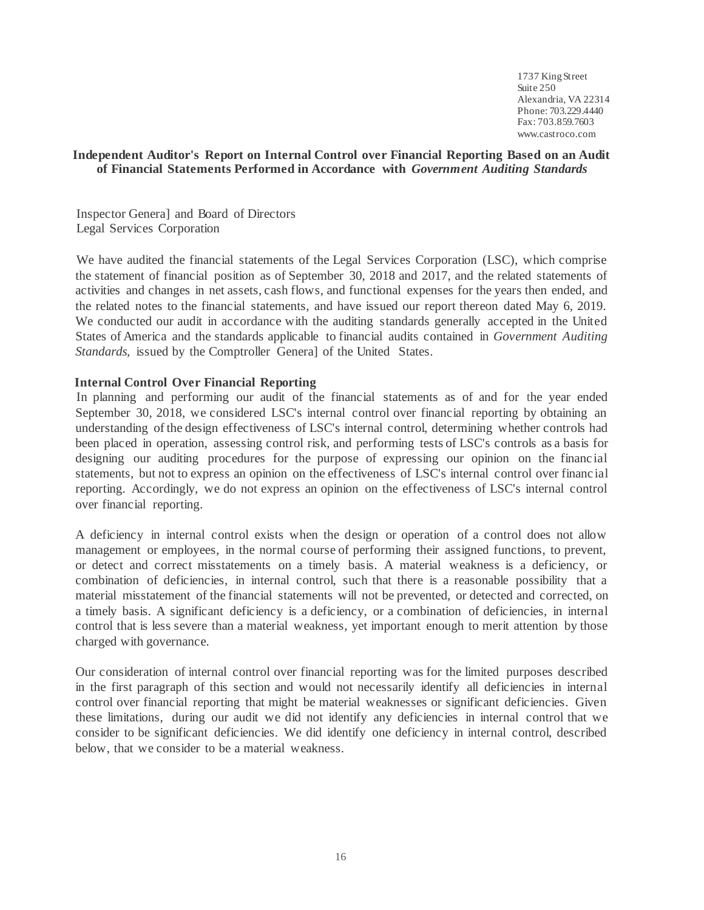1737 King Street Suite 250 Alexandria, VA 22314 Phone: 703.229.4440 Fax: 703.859.7603 [www.castroco.com](http://www.castroco.com/)

# **Independent Auditor's Report on Internal Control over Financial Reporting Based on an Audit of Financial Statements Performed in Accordance with** *Government Auditing Standards*

Inspector Genera] and Board of Directors Legal Services Corporation

We have audited the financial statements of the Legal Services Corporation (LSC), which comprise the statement of financial position as of September 30, 2018 and 2017, and the related statements of activities and changes in net assets, cash flows, and functional expenses for the years then ended, and the related notes to the financial statements, and have issued our report thereon dated May 6, 2019. We conducted our audit in accordance with the auditing standards generally accepted in the United States of America and the standards applicable to financial audits contained in *Government Auditing Standards,* issued by the Comptroller Genera] of the United States.

## **Internal Control Over Financial Reporting**

In planning and performing our audit of the financial statements as of and for the year ended September 30, 2018, we considered LSC's internal control over financial reporting by obtaining an understanding of the design effectiveness of LSC's internal control, determining whether controls had been placed in operation, assessing control risk, and performing tests of LSC's controls as a basis for designing our auditing procedures for the purpose of expressing our opinion on the financ ial statements, but not to express an opinion on the effectiveness of LSC's internal control over financ ial reporting. Accordingly, we do not express an opinion on the effectiveness of LSC's internal control over financial reporting.

A deficiency in internal control exists when the design or operation of a control does not allow management or employees, in the normal course of performing their assigned functions, to prevent, or detect and correct misstatements on a timely basis. A material weakness is a deficiency, or combination of deficiencies, in internal control, such that there is a reasonable possibility that a material misstatement of the financial statements will not be prevented, or detected and corrected, on a timely basis. A significant deficiency is a deficiency, or a combination of deficiencies, in internal control that is less severe than a material weakness, yet important enough to merit attention by those charged with governance.

Our consideration of internal control over financial reporting was for the limited purposes described in the first paragraph of this section and would not necessarily identify all deficiencies in internal control over financial reporting that might be material weaknesses or significant deficiencies. Given these limitations, during our audit we did not identify any deficiencies in internal control that we consider to be significant deficiencies. We did identify one deficiency in internal control, described below, that we consider to be a material weakness.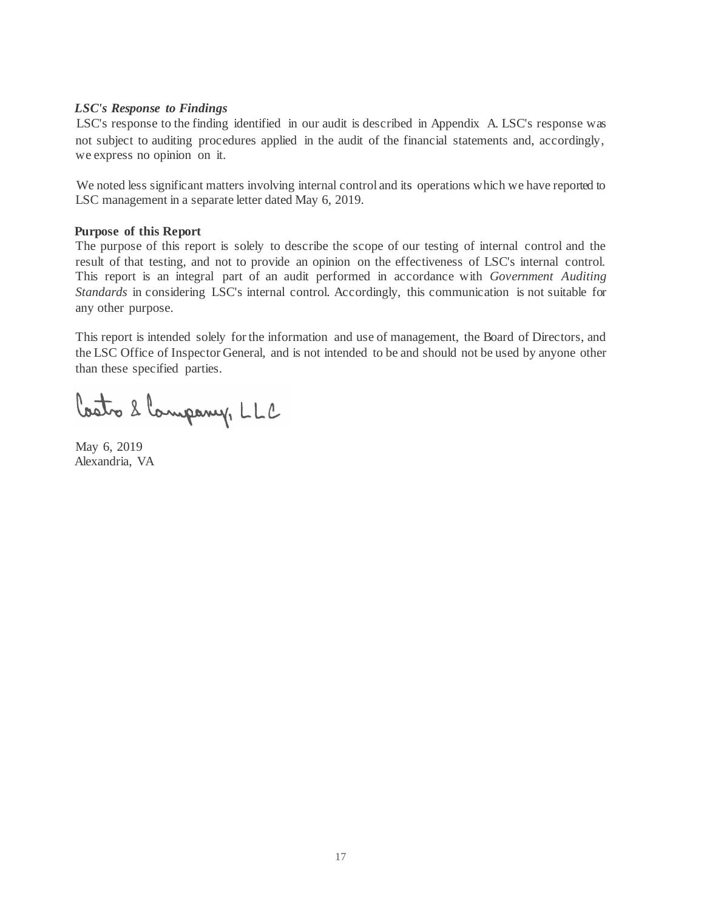# *LSC's Response to Findings*

LSC's response to the finding identified in our audit is described in Appendix A. LSC's response was not subject to auditing procedures applied in the audit of the financial statements and, accordingly, we express no opinion on it.

We noted less significant matters involving internal control and its operations which we have reported to LSC management in a separate letter dated May 6, 2019.

#### **Purpose of this Report**

The purpose of this report is solely to describe the scope of our testing of internal control and the result of that testing, and not to provide an opinion on the effectiveness of LSC's internal control. This report is an integral part of an audit performed in accordance with *Government Auditing Standards* in considering LSC's internal control. Accordingly, this communication is not suitable for any other purpose.

This report is intended solely for the information and use of management, the Board of Directors, and the LSC Office of Inspector General, and is not intended to be and should not be used by anyone other than these specified parties.

Costo 2 Company, LLC

May 6, 2019 Alexandria, VA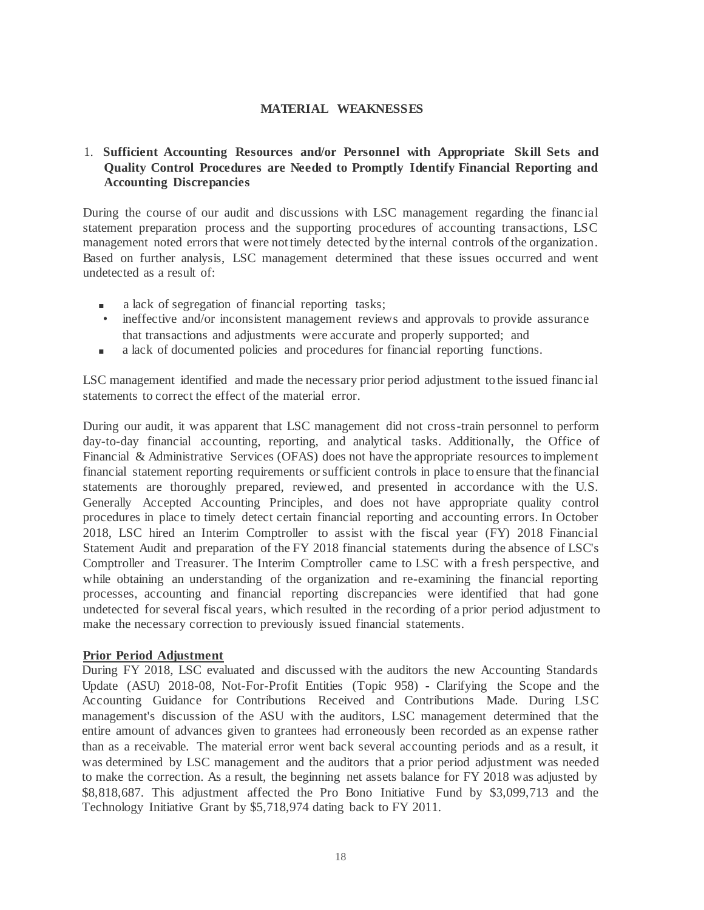## **MATERIAL WEAKNESSES**

# 1. **Sufficient Accounting Resources and/or Personnel with Appropriate Skill Sets and Quality Control Procedures are Needed to Promptly Identify Financial Reporting and Accounting Discrepancies**

During the course of our audit and discussions with LSC management regarding the financ ial statement preparation process and the supporting procedures of accounting transactions, LSC management noted errors that were not timely detected by the internal controls of the organization. Based on further analysis, LSC management determined that these issues occurred and went undetected as a result of:

- a lack of segregation of financial reporting tasks;
- ineffective and/or inconsistent management reviews and approvals to provide assurance that transactions and adjustments were accurate and properly supported; and
- a lack of documented policies and procedures for financial reporting functions.

LSC management identified and made the necessary prior period adjustment to the issued financ ial statements to correct the effect of the material error.

During our audit, it was apparent that LSC management did not cross-train personnel to perform day-to-day financial accounting, reporting, and analytical tasks. Additionally, the Office of Financial & Administrative Services (OFAS) does not have the appropriate resources to implement financial statement reporting requirements orsufficient controls in place to ensure that the financial statements are thoroughly prepared, reviewed, and presented in accordance with the U.S. Generally Accepted Accounting Principles, and does not have appropriate quality control procedures in place to timely detect certain financial reporting and accounting errors. In October 2018, LSC hired an Interim Comptroller to assist with the fiscal year (FY) 2018 Financial Statement Audit and preparation of the FY 2018 financial statements during the absence of LSC's Comptroller and Treasurer. The Interim Comptroller came to LSC with a fresh perspective, and while obtaining an understanding of the organization and re-examining the financial reporting processes, accounting and financial reporting discrepancies were identified that had gone undetected for several fiscal years, which resulted in the recording of a prior period adjustment to make the necessary correction to previously issued financial statements.

#### **Prior Period Adjustment**

During FY 2018, LSC evaluated and discussed with the auditors the new Accounting Standards Update (ASU) 2018-08, Not-For-Profit Entities (Topic 958) - Clarifying the Scope and the Accounting Guidance for Contributions Received and Contributions Made. During LSC management's discussion of the ASU with the auditors, LSC management determined that the entire amount of advances given to grantees had erroneously been recorded as an expense rather than as a receivable. The material error went back several accounting periods and as a result, it was determined by LSC management and the auditors that a prior period adjustment was needed to make the correction. As a result, the beginning net assets balance for FY 2018 was adjusted by \$8,818,687. This adjustment affected the Pro Bono Initiative Fund by \$3,099,713 and the Technology Initiative Grant by \$5,718,974 dating back to FY 2011.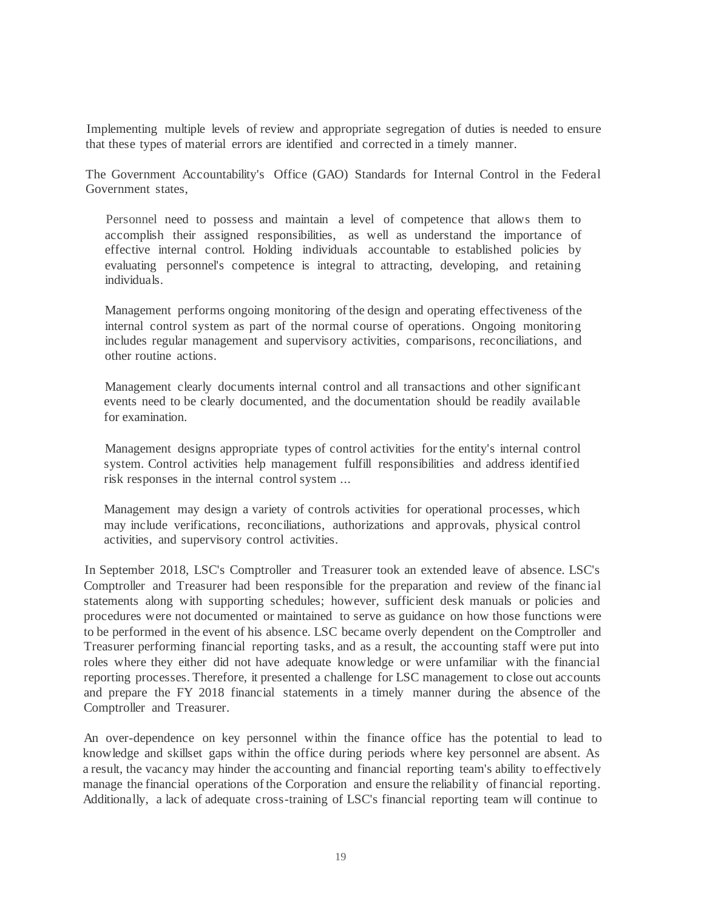Implementing multiple levels of review and appropriate segregation of duties is needed to ensure that these types of material errors are identified and corrected in a timely manner.

The Government Accountability's Office (GAO) Standards for Internal Control in the Federal Government states,

Personnel need to possess and maintain a level of competence that allows them to accomplish their assigned responsibilities, as well as understand the importance of effective internal control. Holding individuals accountable to established policies by evaluating personnel's competence is integral to attracting, developing, and retaining individuals.

Management performs ongoing monitoring of the design and operating effectiveness of the internal control system as part of the normal course of operations. Ongoing monitoring includes regular management and supervisory activities, comparisons, reconciliations, and other routine actions.

Management clearly documents internal control and all transactions and other significant events need to be clearly documented, and the documentation should be readily available for examination.

Management designs appropriate types of control activities for the entity's internal control system. Control activities help management fulfill responsibilities and address identified risk responses in the internal control system ...

Management may design a variety of controls activities for operational processes, which may include verifications, reconciliations, authorizations and approvals, physical control activities, and supervisory control activities.

In September 2018, LSC's Comptroller and Treasurer took an extended leave of absence. LSC's Comptroller and Treasurer had been responsible for the preparation and review of the financ ial statements along with supporting schedules; however, sufficient desk manuals or policies and procedures were not documented or maintained to serve as guidance on how those functions were to be performed in the event of his absence. LSC became overly dependent on the Comptroller and Treasurer performing financial reporting tasks, and as a result, the accounting staff were put into roles where they either did not have adequate knowledge or were unfamiliar with the financial reporting processes. Therefore, it presented a challenge for LSC management to close out accounts and prepare the FY 2018 financial statements in a timely manner during the absence of the Comptroller and Treasurer.

An over-dependence on key personnel within the finance office has the potential to lead to knowledge and skillset gaps within the office during periods where key personnel are absent. As a result, the vacancy may hinder the accounting and financial reporting team's ability to effectively manage the financial operations of the Corporation and ensure the reliability of financial reporting. Additionally, a lack of adequate cross-training of LSC's financial reporting team will continue to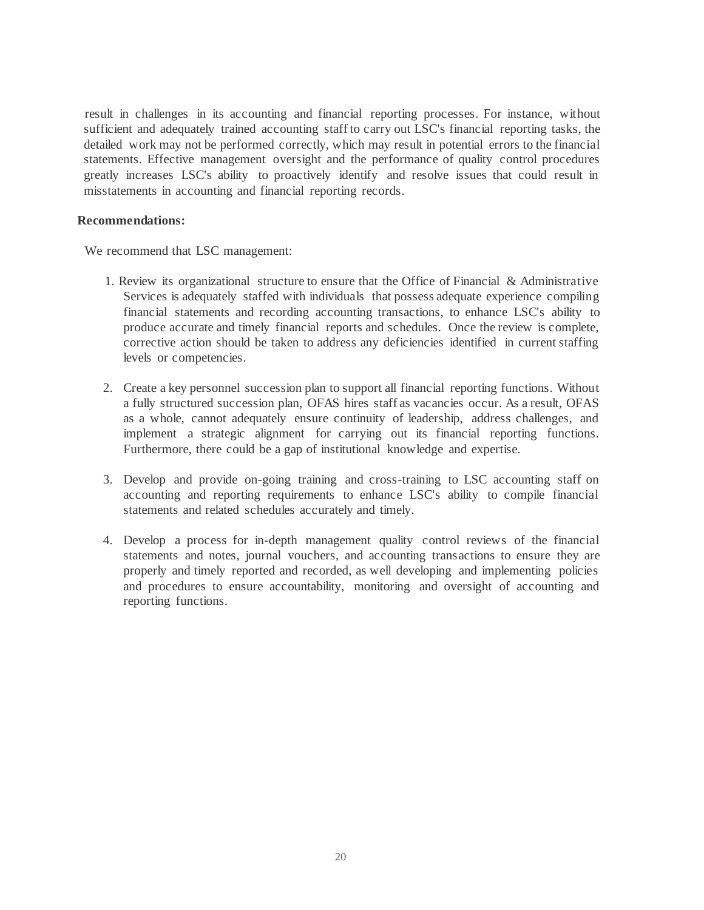result in challenges in its accounting and financial reporting processes. For instance, without sufficient and adequately trained accounting staff to carry out LSC's financial reporting tasks, the detailed work may not be performed correctly, which may result in potential errors to the financial statements. Effective management oversight and the performance of quality control procedures greatly increases LSC's ability to proactively identify and resolve issues that could result in misstatements in accounting and financial reporting records.

#### **Recommendations:**

We recommend that LSC management:

- 1. Review its organizational structure to ensure that the Office of Financial & Administrative Services is adequately staffed with individuals that possess adequate experience compiling financial statements and recording accounting transactions, to enhance LSC's ability to produce accurate and timely financial reports and schedules. Once the review is complete, corrective action should be taken to address any deficiencies identified in current staffing levels or competencies.
- 2. Create a key personnel succession plan to support all financial reporting functions. Without a fully structured succession plan, OFAS hires staff as vacancies occur. As a result, OFAS as a whole, cannot adequately ensure continuity of leadership, address challenges, and implement a strategic alignment for carrying out its financial reporting functions. Furthermore, there could be a gap of institutional knowledge and expertise.
- 3. Develop and provide on-going training and cross-training to LSC accounting staff on accounting and reporting requirements to enhance LSC's ability to compile financial statements and related schedules accurately and timely.
- 4. Develop a process for in-depth management quality control reviews of the financial statements and notes, journal vouchers, and accounting transactions to ensure they are properly and timely reported and recorded, as well developing and implementing policies and procedures to ensure accountability, monitoring and oversight of accounting and reporting functions.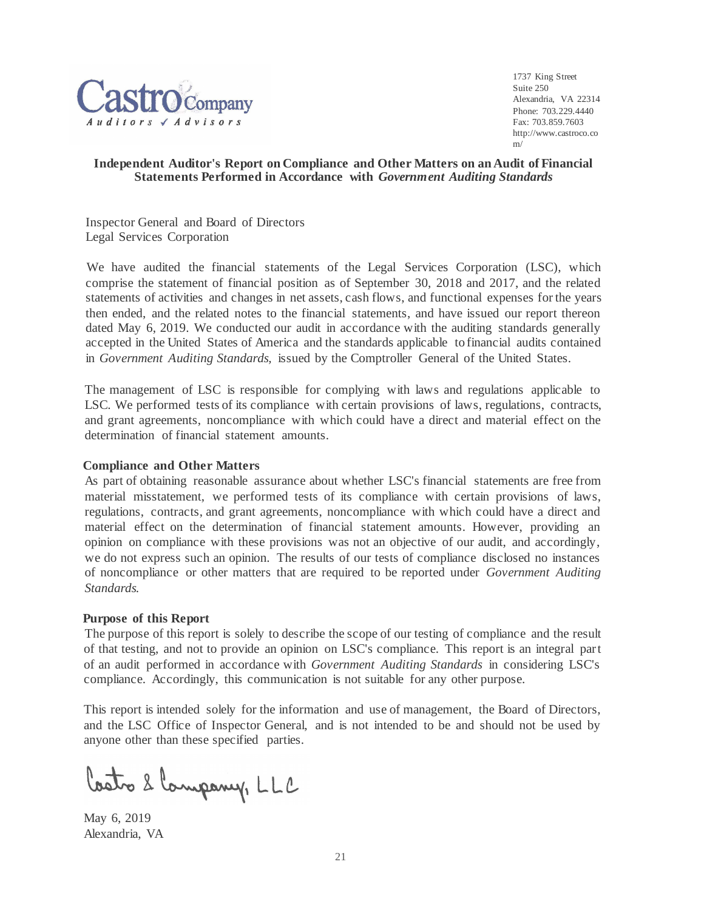

1737 King Street Suite 250 Alexandria, VA 22314 Phone: 703.229.4440 Fax: 703.859.7603 [http://www.castroco.co](http://www.castroco.com/) [m/](http://www.castroco.com/)

## **Independent Auditor's Report on Compliance and Other Matters on an Audit of Financial Statements Performed in Accordance with** *Government Auditing Standards*

Inspector General and Board of Directors Legal Services Corporation

We have audited the financial statements of the Legal Services Corporation (LSC), which comprise the statement of financial position as of September 30, 2018 and 2017, and the related statements of activities and changes in net assets, cash flows, and functional expenses for the years then ended, and the related notes to the financial statements, and have issued our report thereon dated May 6, 2019. We conducted our audit in accordance with the auditing standards generally accepted in the United States of America and the standards applicable to financial audits contained in *Government Auditing Standards,* issued by the Comptroller General of the United States.

The management of LSC is responsible for complying with laws and regulations applicable to LSC. We performed tests of its compliance with certain provisions of laws, regulations, contracts, and grant agreements, noncompliance with which could have a direct and material effect on the determination of financial statement amounts.

## **Compliance and Other Matters**

As part of obtaining reasonable assurance about whether LSC's financial statements are free from material misstatement, we performed tests of its compliance with certain provisions of laws, regulations, contracts, and grant agreements, noncompliance with which could have a direct and material effect on the determination of financial statement amounts. However, providing an opinion on compliance with these provisions was not an objective of our audit, and accordingly, we do not express such an opinion. The results of our tests of compliance disclosed no instances of noncompliance or other matters that are required to be reported under *Government Auditing Standards.*

#### **Purpose of this Report**

The purpose of this report is solely to describe the scope of our testing of compliance and the result of that testing, and not to provide an opinion on LSC's compliance. This report is an integral part of an audit performed in accordance with *Government Auditing Standards* in considering LSC's compliance. Accordingly, this communication is not suitable for any other purpose.

This report is intended solely for the information and use of management, the Board of Directors, and the LSC Office of Inspector General, and is not intended to be and should not be used by anyone other than these specified parties.

Castro 2 Company, LLC

May 6, 2019 Alexandria, VA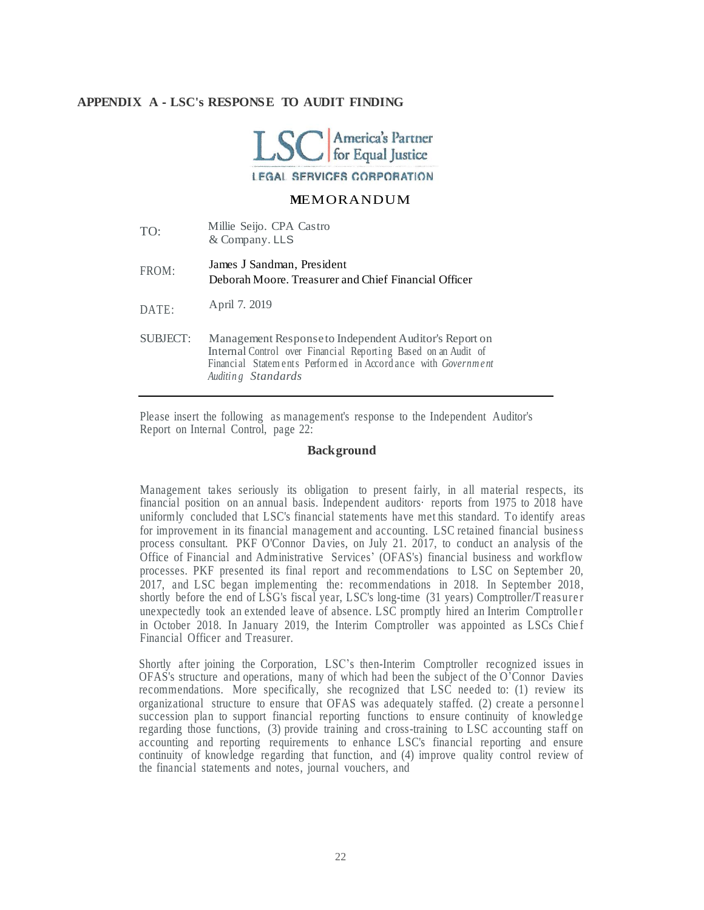## **APPENDIX A - LSC's RESPONSE TO AUDIT FINDING**



#### **M**EMORANDUM

| TO:      | Millie Seijo. CPA Castro<br>& Company. LLS                                                                                                                                                                     |
|----------|----------------------------------------------------------------------------------------------------------------------------------------------------------------------------------------------------------------|
| FROM:    | James J Sandman, President<br>Deborah Moore. Treasurer and Chief Financial Officer                                                                                                                             |
| DATE:    | April 7. 2019                                                                                                                                                                                                  |
| SUBJECT: | Management Response to Independent Auditor's Report on<br>Internal Control over Financial Reporting Based on an Audit of<br>Financial Statements Performed in Accordance with Government<br>Auditing Standards |

Please insert the following as management's response to the Independent Auditor's Report on Internal Control, page 22:

#### **Background**

Management takes seriously its obligation to present fairly, in all material respects, its financial position on an annual basis. Independent auditors· reports from 1975 to 2018 have uniformly concluded that LSC's financial statements have met this standard. To identify areas for improvement in its financial management and accounting. LSC retained financial business process consultant. PKF O'Connor Da vies, on July 21. 2017, to conduct an analysis of the Office of Financial and Administrative Services' (OFAS's) financial business and workflow processes. PKF presented its final report and recommendations to LSC on September 20, 2017, and LSC began implementing the: recommendations in 2018. In September 2018, shortly before the end of LSG's fiscal year, LSC's long-time (31 years) Comptroller/T reasure r unexpectedly took an extended leave of absence. LSC promptly hired an Interim Comptroller in October 2018. In January 2019, the Interim Comptroller was appointed as LSCs Chief Financial Officer and Treasurer.

Shortly after joining the Corporation, LSC's then-Interim Comptroller recognized issues in OFAS's structure and operations, many of which had been the subject of the O'Connor Davies recommendations. More specifically, she recognized that LSC needed to: (1) review its organizational structure to ensure that OFAS was adequately staffed. (2) create a personne l succession plan to support financial reporting functions to ensure continuity of knowledge regarding those functions, (3) provide training and cross-training to LSC accounting staff on accounting and reporting requirements to enhance LSC's financial reporting and ensure continuity of knowledge regarding that function, and (4) improve quality control review of the financial statements and notes, journal vouchers, and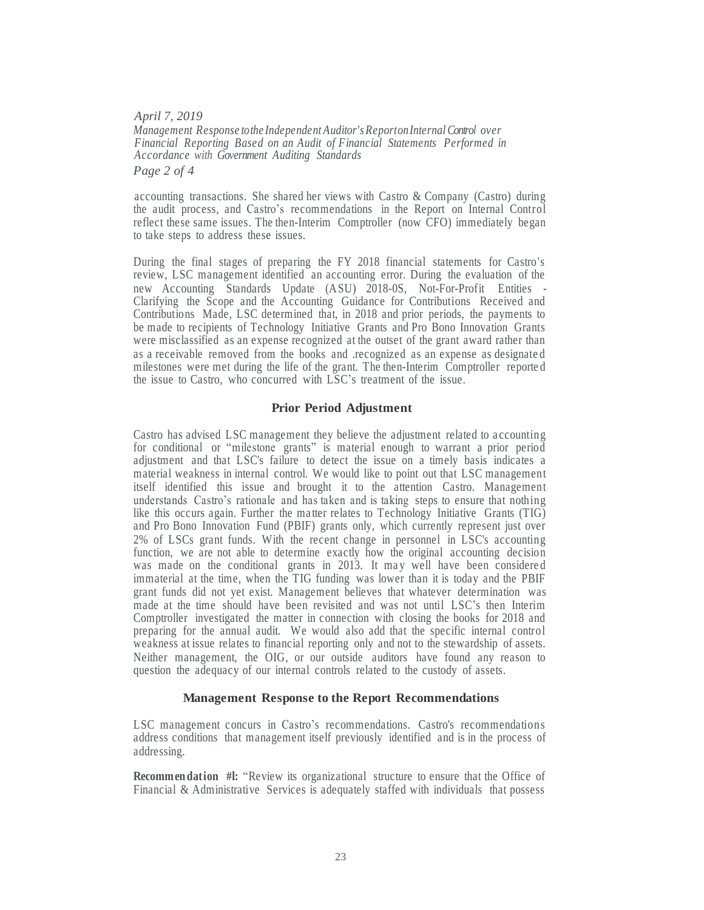*April 7, 2019 Management Response tothe Independent Auditor'sReportonInternalControl over Financial Reporting Based on an Audit of Financial Statements Performed in Accordance with Government Auditing Standards Page 2 of 4*

accounting transactions. She shared her views with Castro & Company (Castro) during the audit process, and Castro's recommendations in the Report on Internal Control reflect these same issues. The then-Interim Comptroller (now CFO) immediately began to take steps to address these issues.

During the final stages of preparing the FY 2018 financial statements for Castro's review, LSC management identified an accounting error. During the evaluation of the new Accounting Standards Update (ASU) 2018-0S, Not-For-Profit Entities - Clarifying the Scope and the Accounting Guidance for Contributions Received and Contributions Made, LSC determined that, in 2018 and prior periods, the payments to be made to recipients of Technology Initiative Grants and Pro Bono Innovation Grants were misclassified as an expense recognized at the outset of the grant award rather than as a receivable removed from the books and .recognized as an expense as designate d milestones were met during the life of the grant. The then-Interim Comptroller reporte d the issue to Castro, who concurred with LSC's treatment of the issue.

#### **Prior Period Adjustment**

Castro has advised LSC management they believe the adjustment related to a ccounting for conditional or "milestone grants" is material enough to warrant a prior period adjustment and that LSC's failure to detect the issue on a timely basis indicates a material weakness in internal control. We would like to point out that LSC management itself identified this issue and brought it to the attention Castro. Management understands Castro's rationale and has taken and is taking steps to ensure that nothing like this occurs again. Further the ma tter relates to Technology Initiative Grants (TIG) and Pro Bono Innovation Fund (PBIF) grants only, which currently represent just over 2% of LSCs grant funds. With the recent change in personnel in LSC's accounting function, we are not able to determine exactly how the original accounting decision was made on the conditional grants in 2013. It may well have been considered immaterial at the time, when the TIG funding was lower than it is today and the PBIF grant funds did not yet exist. Management believes that whatever determination was made at the time should have been revisited and was not until LSC's then Interim Comptroller investigated the matter in connection with closing the books for 2018 and preparing for the annual audit. We would also add that the specific internal control weakness at issue relates to financial reporting only and not to the stewardship of assets. Neither management, the OIG, or our outside auditors have found any reason to question the adequacy of our internal controls related to the custody of assets.

#### **Management Response to the Report Recommendations**

LSC management concurs in Castro's recommendations. Castro's recommendations address conditions that management itself previously identified and is in the process of addressing.

**Recommen dation #l:** "Review its organizational structure to ensure that the Office of Financial & Administrative Services is adequately staffed with individuals that possess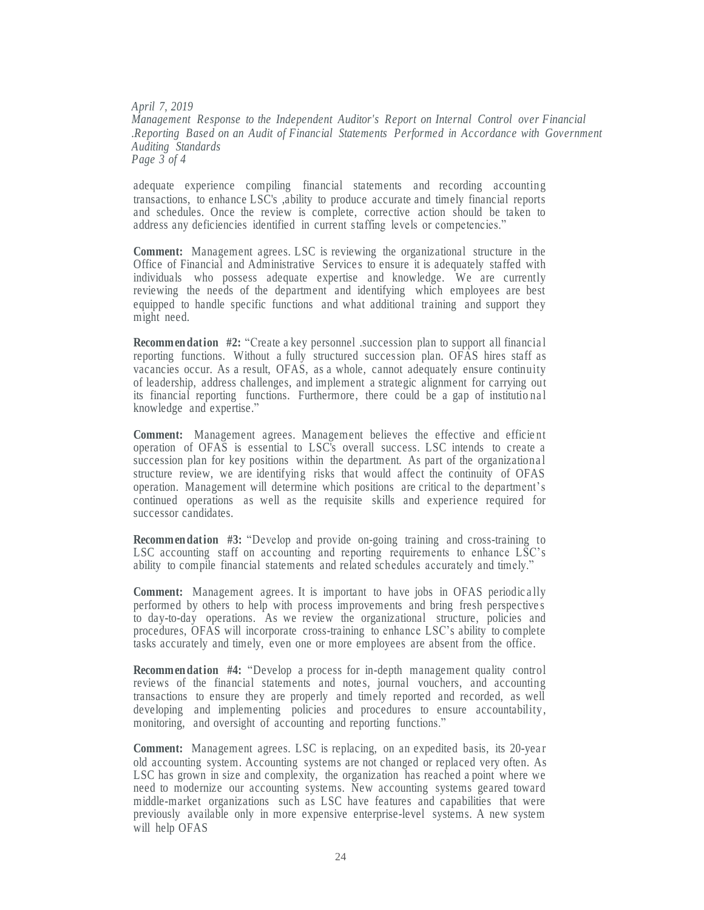*April 7, 2019 Management Response to the Independent Auditor's Report on Internal Control over Financial .Reporting Based on an Audit of Financial Statements Performed in Accordance with Government Auditing Standards Page 3 of 4*

adequate experience compiling financial statements and recording accounting transactions, to enhance LSC's ,ability to produce accurate and timely financial reports and schedules. Once the review is complete, corrective action should be taken to address any deficiencies identified in current staffing levels or competencies."

**Comment:** Management agrees. LSC is reviewing the organizational structure in the Office of Financial and Administrative Service s to ensure it is adequately staffed with individuals who possess adequate expertise and knowledge. We are currently reviewing the needs of the department and identifying which employees are best equipped to handle specific functions and what additional training and support they might need.

**Recommendation** #2: "Create a key personnel .succession plan to support all financial reporting functions. Without a fully structured succession plan. OFAS hires staff as vacancies occur. As a result, OFAS, as a whole, cannot adequately ensure continuity of leadership, address challenges, and implement a strategic alignment for carrying out its financial reporting functions. Furthermore, there could be a gap of institutio na l knowledge and expertise."

Comment: Management agrees. Management believes the effective and efficient operation of OFAS is essential to LSC's overall success. LSC intends to create a succession plan for key positions within the department. As part of the organizationa l structure review, we are identifying risks that would affect the continuity of OFAS operation. Management will determine which positions are critical to the department's continued operations as well as the requisite skills and experience required for successor candidates.

**Recommen dation #3:** "Develop and provide on-going training and cross-training to LSC accounting staff on accounting and reporting requirements to enhance LSC's ability to compile financial statements and related schedules accurately and timely."

**Comment:** Management agrees. It is important to have jobs in OFAS periodically performed by others to help with process improvements and bring fresh perspective s to day-to-day operations. As we review the organizational structure, policies and procedures, OFAS will incorporate cross-training to enhance LSC's ability to complete tasks accurately and timely, even one or more employees are absent from the office.

**Recommendation #4:** "Develop a process for in-depth management quality control reviews of the financial statements and notes, journal vouchers, and accounting transactions to ensure they are properly and timely reported and recorded, as well developing and implementing policies and procedures to ensure accountability, monitoring, and oversight of accounting and reporting functions."

**Comment:** Management agrees. LSC is replacing, on an expedited basis, its 20-year old accounting system. Accounting systems are not changed or replaced very often. As LSC has grown in size and complexity, the organization has reached a point where we need to modernize our accounting systems. New accounting systems geared toward middle-market organizations such as LSC have features and capabilities that were previously available only in more expensive enterprise-level systems. A new system will help OFAS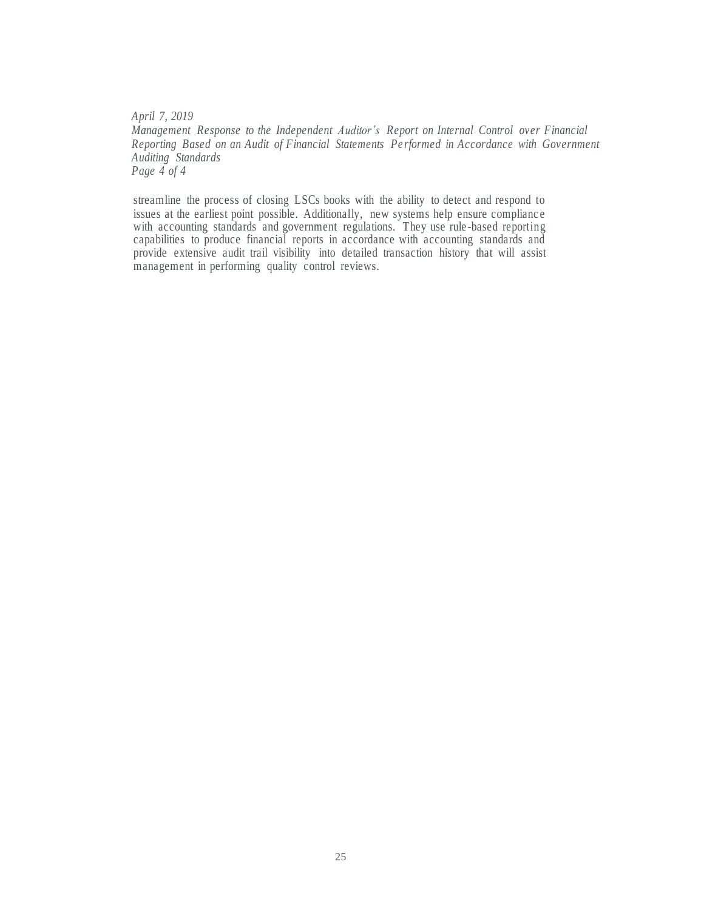*April 7, 2019 Management Response to the Independent Auditor's Report on Internal Control over Financial Reporting Based on an Audit of Financial Statements Pe rformed in Accordance with Government Auditing Standards Page 4 of 4*

streamline the process of closing LSCs books with the ability to detect and respond to issues at the earliest point possible. Additionally, new systems help ensure complianc e with accounting standards and government regulations. They use rule-based reporting capabilities to produce financial reports in accordance with accounting standards and provide extensive audit trail visibility into detailed transaction history that will assist management in performing quality control reviews.